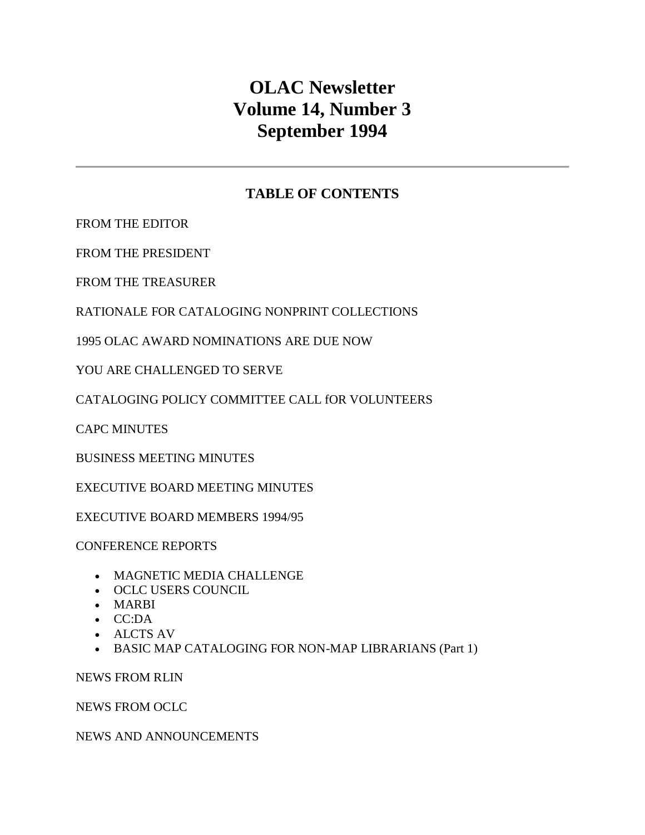# **OLAC Newsletter Volume 14, Number 3 September 1994**

# **TABLE OF CONTENTS**

[FROM THE EDITOR](http://ublib.buffalo.edu/libraries/units/cts/olac/newsletters/sept94.html#editor)

[FROM THE PRESIDENT](http://ublib.buffalo.edu/libraries/units/cts/olac/newsletters/sept94.html#pres)

[FROM THE TREASURER](http://ublib.buffalo.edu/libraries/units/cts/olac/newsletters/sept94.html#treas)

[RATIONALE FOR CATALOGING NONPRINT COLLECTIONS](http://ublib.buffalo.edu/libraries/units/cts/olac/newsletters/sept94.html#rcnc)

[1995 OLAC AWARD NOMINATIONS ARE DUE NOW](http://ublib.buffalo.edu/libraries/units/cts/olac/newsletters/sept94.html#oandn)

[YOU ARE CHALLENGED TO SERVE](http://ublib.buffalo.edu/libraries/units/cts/olac/newsletters/sept94.html#ycs)

[CATALOGING POLICY COMMITTEE CALL fOR VOLUNTEERS](http://ublib.buffalo.edu/libraries/units/cts/olac/newsletters/sept94.html#capccfv)

[CAPC MINUTES](http://ublib.buffalo.edu/libraries/units/cts/olac/newsletters/sept94.html#capcmins)

[BUSINESS MEETING MINUTES](http://ublib.buffalo.edu/libraries/units/cts/olac/newsletters/sept94.html#bmm)

[EXECUTIVE BOARD MEETING MINUTES](http://ublib.buffalo.edu/libraries/units/cts/olac/newsletters/sept94.html#ebmm)

[EXECUTIVE BOARD MEMBERS 1994/95](http://ublib.buffalo.edu/libraries/units/cts/olac/newsletters/sept94.html#ebm)

[CONFERENCE REPORTS](http://ublib.buffalo.edu/libraries/units/cts/olac/newsletters/sept94.html#confrepts)

- [MAGNETIC MEDIA CHALLENGE](http://ublib.buffalo.edu/libraries/units/cts/olac/newsletters/sept94.html#mmc)
- [OCLC USERS COUNCIL](http://ublib.buffalo.edu/libraries/units/cts/olac/newsletters/sept94.html#oclcuc)
- [MARBI](http://ublib.buffalo.edu/libraries/units/cts/olac/newsletters/sept94.html#marbi)
- [CC:DA](http://ublib.buffalo.edu/libraries/units/cts/olac/newsletters/sept94.html#ccda)
- [ALCTS AV](http://ublib.buffalo.edu/libraries/units/cts/olac/newsletters/sept94.html#alctsav)
- [BASIC MAP CATALOGING FOR NON-MAP LIBRARIANS \(Part 1\)](http://ublib.buffalo.edu/libraries/units/cts/olac/newsletters/sept94.html#bmcnml)

[NEWS FROM RLIN](http://ublib.buffalo.edu/libraries/units/cts/olac/newsletters/sept94.html#nwsrlin)

[NEWS FROM OCLC](http://ublib.buffalo.edu/libraries/units/cts/olac/newsletters/sept94.html#nwsoclc)

[NEWS AND ANNOUNCEMENTS](http://ublib.buffalo.edu/libraries/units/cts/olac/newsletters/sept94.html#n&a)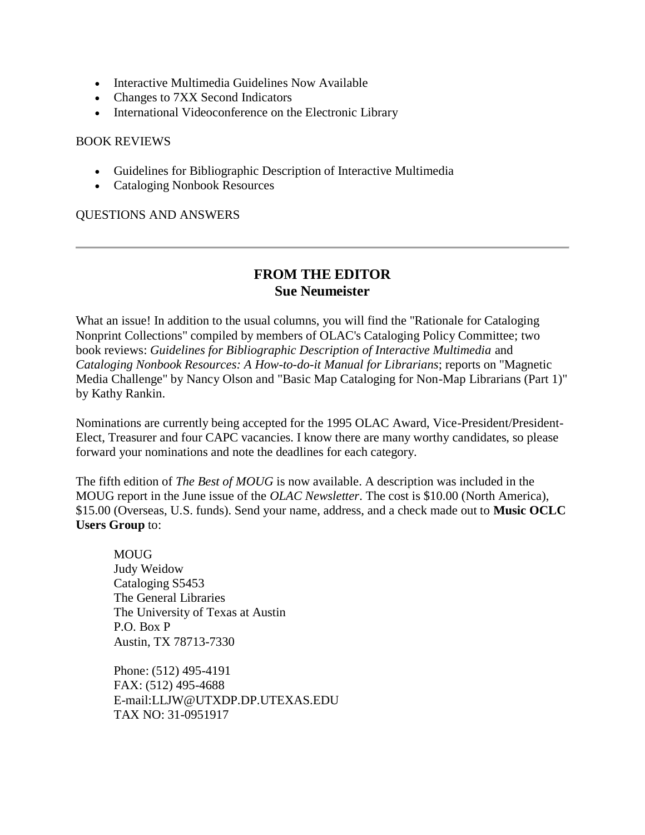- [Interactive Multimedia Guidelines Now Available](http://ublib.buffalo.edu/libraries/units/cts/olac/newsletters/sept94.html#imgna)
- [Changes to 7XX Second Indicators](http://ublib.buffalo.edu/libraries/units/cts/olac/newsletters/sept94.html#7xx)
- [International Videoconference on the Electronic Library](http://ublib.buffalo.edu/libraries/units/cts/olac/newsletters/sept94.html#ivcel)

#### [BOOK REVIEWS](http://ublib.buffalo.edu/libraries/units/cts/olac/newsletters/sept94.html#reviews)

- [Guidelines for Bibliographic Description of Interactive Multimedia](http://ublib.buffalo.edu/libraries/units/cts/olac/newsletters/sept94.html#gbdim)
- [Cataloging Nonbook Resources](http://ublib.buffalo.edu/libraries/units/cts/olac/newsletters/sept94.html#cnbr)

[QUESTIONS AND ANSWERS](http://ublib.buffalo.edu/libraries/units/cts/olac/newsletters/sept94.html#q&a)

# **FROM THE EDITOR Sue Neumeister**

What an issue! In addition to the usual columns, you will find the "Rationale for Cataloging Nonprint Collections" compiled by members of OLAC's Cataloging Policy Committee; two book reviews: *Guidelines for Bibliographic Description of Interactive Multimedia* and *Cataloging Nonbook Resources: A How-to-do-it Manual for Librarians*; reports on "Magnetic Media Challenge" by Nancy Olson and "Basic Map Cataloging for Non-Map Librarians (Part 1)" by Kathy Rankin.

Nominations are currently being accepted for the 1995 OLAC Award, Vice-President/President-Elect, Treasurer and four CAPC vacancies. I know there are many worthy candidates, so please forward your nominations and note the deadlines for each category.

The fifth edition of *The Best of MOUG* is now available. A description was included in the MOUG report in the June issue of the *OLAC Newsletter*. The cost is \$10.00 (North America), \$15.00 (Overseas, U.S. funds). Send your name, address, and a check made out to **Music OCLC Users Group** to:

**MOUG** Judy Weidow Cataloging S5453 The General Libraries The University of Texas at Austin P.O. Box P Austin, TX 78713-7330

Phone: (512) 495-4191 FAX: (512) 495-4688 E-mail[:LLJW@UTXDP.DP.UTEXAS.EDU](mailto:LLJW@UTXDP.DP.UTEXAS.EDU) TAX NO: 31-0951917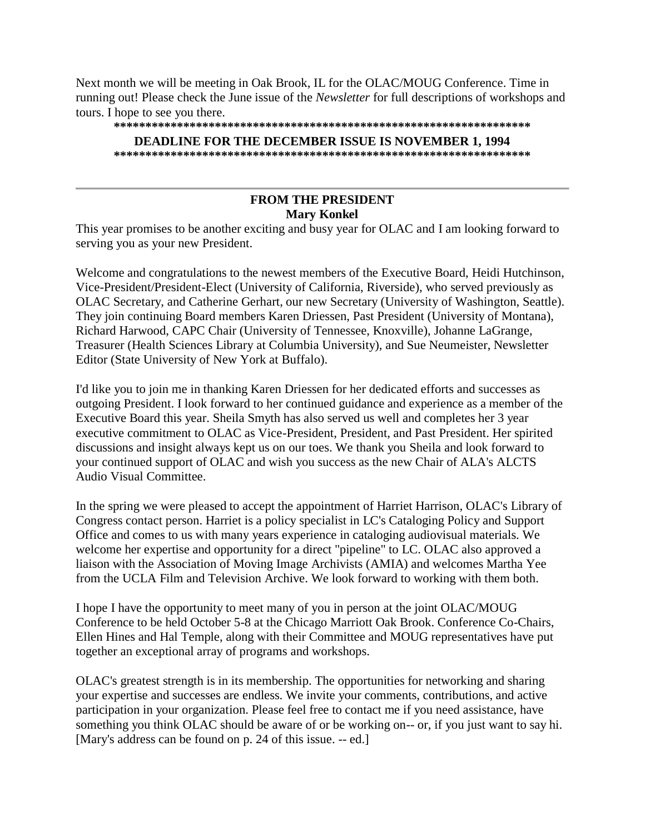Next month we will be meeting in Oak Brook, IL for the OLAC/MOUG Conference. Time in running out! Please check the [June issue](http://ublib.buffalo.edu/libraries/units/cts/olac/newsletters/june94.html#olacmoug) of the *Newsletter* for full descriptions of workshops and tours. I hope to see you there.

#### **\*\*\*\*\*\*\*\*\*\*\*\*\*\*\*\*\*\*\*\*\*\*\*\*\*\*\*\*\*\*\*\*\*\*\*\*\*\*\*\*\*\*\*\*\*\*\*\*\*\*\*\*\*\*\*\*\*\*\*\*\*\*\*\*\*\***

#### **DEADLINE FOR THE [DECEMBER ISSUE](http://ublib.buffalo.edu/libraries/units/cts/olac/newsletters/dec94.html) IS NOVEMBER 1, 1994**

**\*\*\*\*\*\*\*\*\*\*\*\*\*\*\*\*\*\*\*\*\*\*\*\*\*\*\*\*\*\*\*\*\*\*\*\*\*\*\*\*\*\*\*\*\*\*\*\*\*\*\*\*\*\*\*\*\*\*\*\*\*\*\*\*\*\*** 

# **FROM THE PRESIDENT Mary Konkel**

This year promises to be another exciting and busy year for OLAC and I am looking forward to serving you as your new President.

Welcome and congratulations to the newest members of the Executive Board, Heidi Hutchinson, Vice-President/President-Elect (University of California, Riverside), who served previously as OLAC Secretary, and Catherine Gerhart, our new Secretary (University of Washington, Seattle). They join continuing Board members Karen Driessen, Past President (University of Montana), Richard Harwood, CAPC Chair (University of Tennessee, Knoxville), Johanne LaGrange, Treasurer (Health Sciences Library at Columbia University), and Sue Neumeister, Newsletter Editor (State University of New York at Buffalo).

I'd like you to join me in thanking Karen Driessen for her dedicated efforts and successes as outgoing President. I look forward to her continued guidance and experience as a member of the Executive Board this year. Sheila Smyth has also served us well and completes her 3 year executive commitment to OLAC as Vice-President, President, and Past President. Her spirited discussions and insight always kept us on our toes. We thank you Sheila and look forward to your continued support of OLAC and wish you success as the new Chair of ALA's ALCTS Audio Visual Committee.

In the spring we were pleased to accept the appointment of Harriet Harrison, OLAC's Library of Congress contact person. Harriet is a policy specialist in LC's Cataloging Policy and Support Office and comes to us with many years experience in cataloging audiovisual materials. We welcome her expertise and opportunity for a direct "pipeline" to LC. OLAC also approved a liaison with the Association of Moving Image Archivists (AMIA) and welcomes Martha Yee from the UCLA Film and Television Archive. We look forward to working with them both.

I hope I have the opportunity to meet many of you in person at the joint OLAC/MOUG Conference to be held October 5-8 at the Chicago Marriott Oak Brook. Conference Co-Chairs, Ellen Hines and Hal Temple, along with their Committee and MOUG representatives have put together an exceptional array of programs and workshops.

OLAC's greatest strength is in its membership. The opportunities for networking and sharing your expertise and successes are endless. We invite your comments, contributions, and active participation in your organization. Please feel free to contact me if you need assistance, have something you think OLAC should be aware of or be working on-- or, if you just want to say hi. [Mary's address can be found on [p. 24](http://ublib.buffalo.edu/libraries/units/cts/olac/newsletters/sept94.html#ebm) of this issue. -- ed.]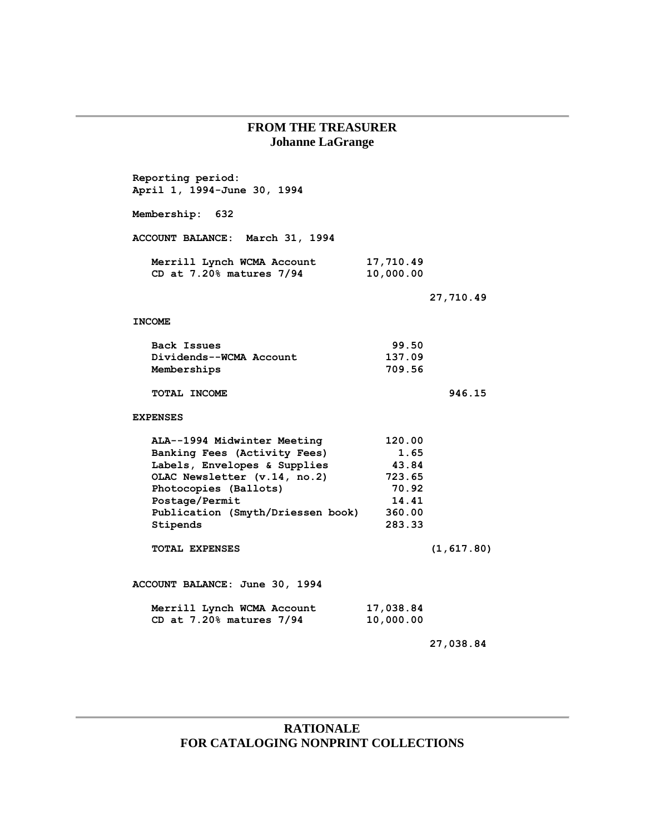# **FROM THE TREASURER Johanne LaGrange**

| Reporting period:<br>April 1, 1994-June 30, 1994                                                                                                                                                                        |                                                                         |             |
|-------------------------------------------------------------------------------------------------------------------------------------------------------------------------------------------------------------------------|-------------------------------------------------------------------------|-------------|
| Membership: 632                                                                                                                                                                                                         |                                                                         |             |
| ACCOUNT BALANCE: March 31, 1994                                                                                                                                                                                         |                                                                         |             |
| Merrill Lynch WCMA Account<br>CD at $7.20\%$ matures $7/94$                                                                                                                                                             | 17,710.49<br>10,000.00                                                  |             |
|                                                                                                                                                                                                                         |                                                                         | 27,710.49   |
| <b>INCOME</b>                                                                                                                                                                                                           |                                                                         |             |
| Back Issues<br>Dividends--WCMA Account<br>Memberships                                                                                                                                                                   | 99.50<br>137.09<br>709.56                                               |             |
| TOTAL INCOME                                                                                                                                                                                                            |                                                                         | 946.15      |
| <b>EXPENSES</b>                                                                                                                                                                                                         |                                                                         |             |
| ALA--1994 Midwinter Meeting<br>Banking Fees (Activity Fees)<br>Labels, Envelopes & Supplies<br>OLAC Newsletter (v.14, no.2)<br>Photocopies (Ballots)<br>Postage/Permit<br>Publication (Smyth/Driessen book)<br>Stipends | 120.00<br>1.65<br>43.84<br>723.65<br>70.92<br>14.41<br>360.00<br>283.33 |             |
| TOTAL EXPENSES                                                                                                                                                                                                          |                                                                         | (1, 617.80) |
| ACCOUNT BALANCE: June 30, 1994                                                                                                                                                                                          |                                                                         |             |
| Merrill Lynch WCMA Account<br>CD at $7.20\%$ matures $7/94$                                                                                                                                                             | 17,038.84<br>10,000.00                                                  |             |
|                                                                                                                                                                                                                         |                                                                         | 27,038.84   |

# **RATIONALE FOR CATALOGING NONPRINT COLLECTIONS**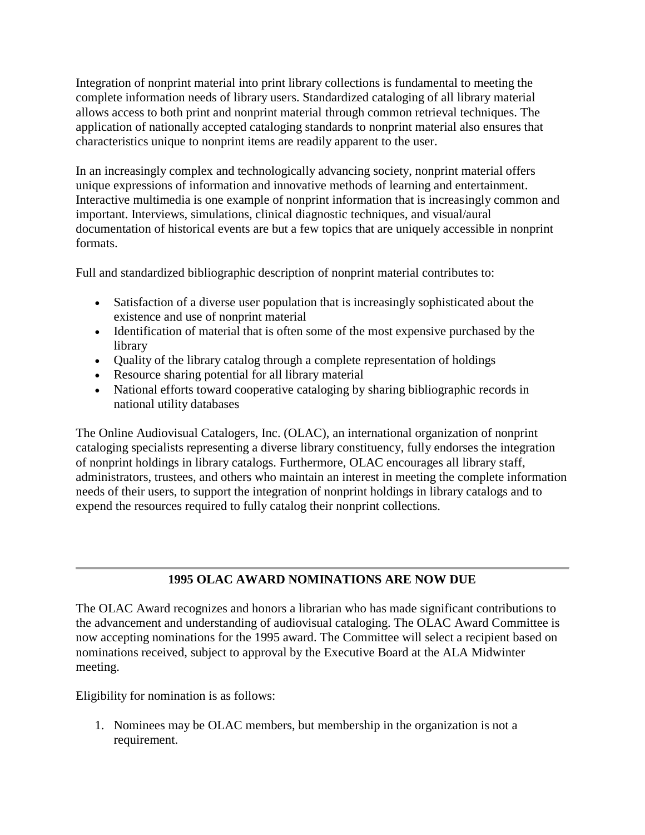Integration of nonprint material into print library collections is fundamental to meeting the complete information needs of library users. Standardized cataloging of all library material allows access to both print and nonprint material through common retrieval techniques. The application of nationally accepted cataloging standards to nonprint material also ensures that characteristics unique to nonprint items are readily apparent to the user.

In an increasingly complex and technologically advancing society, nonprint material offers unique expressions of information and innovative methods of learning and entertainment. Interactive multimedia is one example of nonprint information that is increasingly common and important. Interviews, simulations, clinical diagnostic techniques, and visual/aural documentation of historical events are but a few topics that are uniquely accessible in nonprint formats.

Full and standardized bibliographic description of nonprint material contributes to:

- Satisfaction of a diverse user population that is increasingly sophisticated about the existence and use of nonprint material
- Identification of material that is often some of the most expensive purchased by the library
- Quality of the library catalog through a complete representation of holdings
- Resource sharing potential for all library material
- National efforts toward cooperative cataloging by sharing bibliographic records in national utility databases

The Online Audiovisual Catalogers, Inc. (OLAC), an international organization of nonprint cataloging specialists representing a diverse library constituency, fully endorses the integration of nonprint holdings in library catalogs. Furthermore, OLAC encourages all library staff, administrators, trustees, and others who maintain an interest in meeting the complete information needs of their users, to support the integration of nonprint holdings in library catalogs and to expend the resources required to fully catalog their nonprint collections.

# **1995 OLAC AWARD NOMINATIONS ARE NOW DUE**

The OLAC Award recognizes and honors a librarian who has made significant contributions to the advancement and understanding of audiovisual cataloging. The OLAC Award Committee is now accepting nominations for the 1995 award. The Committee will select a recipient based on nominations received, subject to approval by the Executive Board at the ALA Midwinter meeting.

Eligibility for nomination is as follows:

1. Nominees may be OLAC members, but membership in the organization is not a requirement.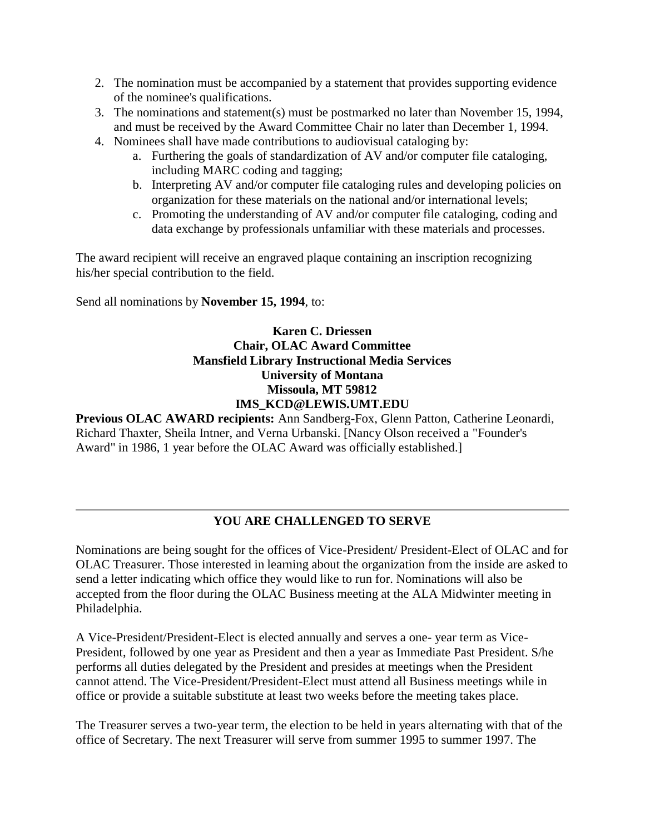- 2. The nomination must be accompanied by a statement that provides supporting evidence of the nominee's qualifications.
- 3. The nominations and statement(s) must be postmarked no later than November 15, 1994, and must be received by the Award Committee Chair no later than December 1, 1994.
- 4. Nominees shall have made contributions to audiovisual cataloging by:
	- a. Furthering the goals of standardization of AV and/or computer file cataloging, including MARC coding and tagging;
	- b. Interpreting AV and/or computer file cataloging rules and developing policies on organization for these materials on the national and/or international levels;
	- c. Promoting the understanding of AV and/or computer file cataloging, coding and data exchange by professionals unfamiliar with these materials and processes.

The award recipient will receive an engraved plaque containing an inscription recognizing his/her special contribution to the field.

Send all nominations by **November 15, 1994**, to:

# **Karen C. Driessen Chair, OLAC Award Committee Mansfield Library Instructional Media Services University of Montana Missoula, MT 59812 [IMS\\_KCD@LEWIS.UMT.EDU](mailto:IMS_KCD@LEWIS.UMT.EDU)**

**Previous OLAC AWARD recipients:** Ann Sandberg-Fox, Glenn Patton, Catherine Leonardi, Richard Thaxter, Sheila Intner, and Verna Urbanski. [Nancy Olson received a "Founder's Award" in 1986, 1 year before the OLAC Award was officially established.]

# **YOU ARE CHALLENGED TO SERVE**

Nominations are being sought for the offices of Vice-President/ President-Elect of OLAC and for OLAC Treasurer. Those interested in learning about the organization from the inside are asked to send a letter indicating which office they would like to run for. Nominations will also be accepted from the floor during the OLAC Business meeting at the ALA Midwinter meeting in Philadelphia.

A Vice-President/President-Elect is elected annually and serves a one- year term as Vice-President, followed by one year as President and then a year as Immediate Past President. S/he performs all duties delegated by the President and presides at meetings when the President cannot attend. The Vice-President/President-Elect must attend all Business meetings while in office or provide a suitable substitute at least two weeks before the meeting takes place.

The Treasurer serves a two-year term, the election to be held in years alternating with that of the office of Secretary. The next Treasurer will serve from summer 1995 to summer 1997. The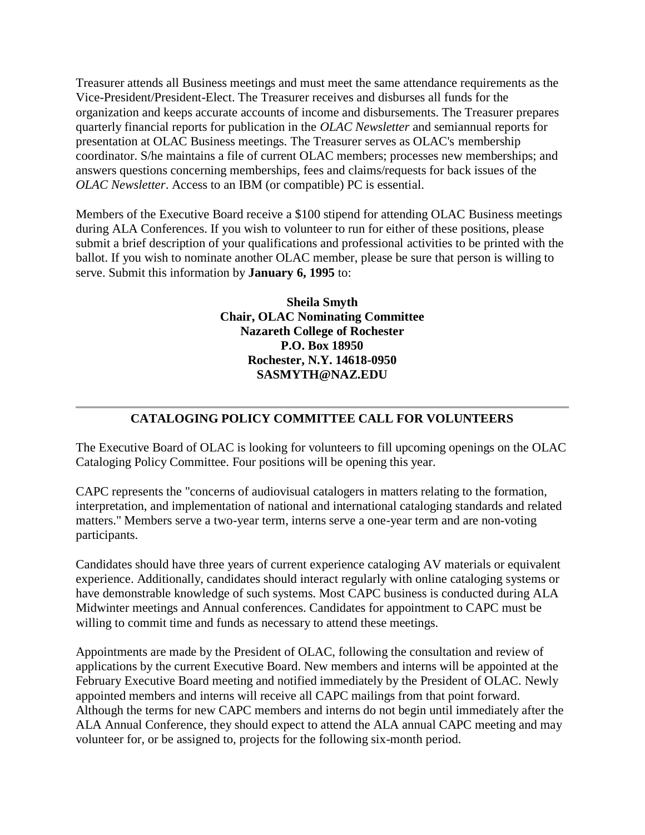Treasurer attends all Business meetings and must meet the same attendance requirements as the Vice-President/President-Elect. The Treasurer receives and disburses all funds for the organization and keeps accurate accounts of income and disbursements. The Treasurer prepares quarterly financial reports for publication in the *OLAC Newsletter* and semiannual reports for presentation at OLAC Business meetings. The Treasurer serves as OLAC's membership coordinator. S/he maintains a file of current OLAC members; processes new memberships; and answers questions concerning memberships, fees and claims/requests for back issues of the *OLAC Newsletter*. Access to an IBM (or compatible) PC is essential.

Members of the Executive Board receive a \$100 stipend for attending OLAC Business meetings during ALA Conferences. If you wish to volunteer to run for either of these positions, please submit a brief description of your qualifications and professional activities to be printed with the ballot. If you wish to nominate another OLAC member, please be sure that person is willing to serve. Submit this information by **January 6, 1995** to:

> **Sheila Smyth Chair, OLAC Nominating Committee Nazareth College of Rochester P.O. Box 18950 Rochester, N.Y. 14618-0950 [SASMYTH@NAZ.EDU](mailto:SASMYTH@NAZ.EDU)**

# **CATALOGING POLICY COMMITTEE CALL FOR VOLUNTEERS**

The Executive Board of OLAC is looking for volunteers to fill upcoming openings on the OLAC Cataloging Policy Committee. Four positions will be opening this year.

CAPC represents the "concerns of audiovisual catalogers in matters relating to the formation, interpretation, and implementation of national and international cataloging standards and related matters." Members serve a two-year term, interns serve a one-year term and are non-voting participants.

Candidates should have three years of current experience cataloging AV materials or equivalent experience. Additionally, candidates should interact regularly with online cataloging systems or have demonstrable knowledge of such systems. Most CAPC business is conducted during ALA Midwinter meetings and Annual conferences. Candidates for appointment to CAPC must be willing to commit time and funds as necessary to attend these meetings.

Appointments are made by the President of OLAC, following the consultation and review of applications by the current Executive Board. New members and interns will be appointed at the February Executive Board meeting and notified immediately by the President of OLAC. Newly appointed members and interns will receive all CAPC mailings from that point forward. Although the terms for new CAPC members and interns do not begin until immediately after the ALA Annual Conference, they should expect to attend the ALA annual CAPC meeting and may volunteer for, or be assigned to, projects for the following six-month period.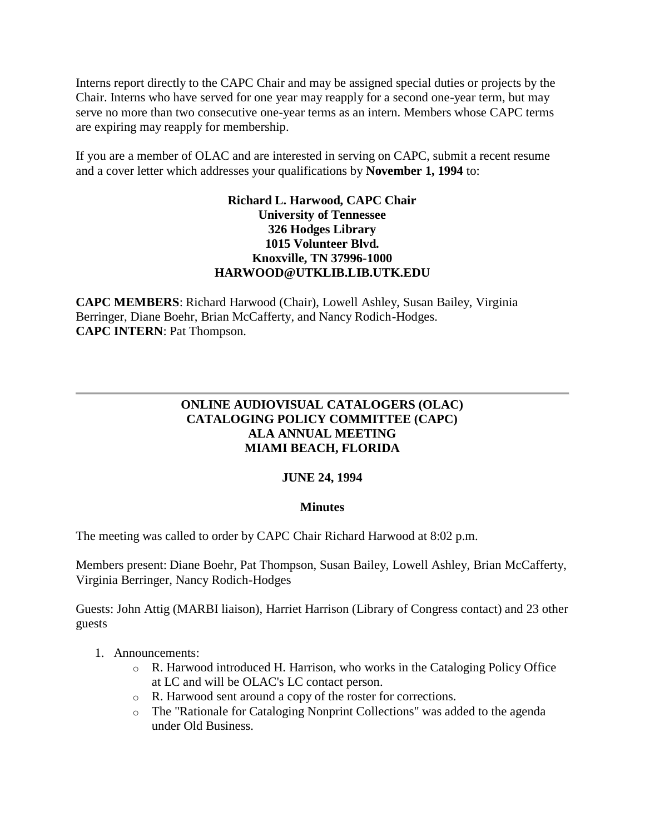Interns report directly to the CAPC Chair and may be assigned special duties or projects by the Chair. Interns who have served for one year may reapply for a second one-year term, but may serve no more than two consecutive one-year terms as an intern. Members whose CAPC terms are expiring may reapply for membership.

If you are a member of OLAC and are interested in serving on CAPC, submit a recent resume and a cover letter which addresses your qualifications by **November 1, 1994** to:

# **Richard L. Harwood, CAPC Chair University of Tennessee 326 Hodges Library 1015 Volunteer Blvd. Knoxville, TN 37996-1000 [HARWOOD@UTKLIB.LIB.UTK.EDU](mailto:HARWOOD@UTKLIB.LIB.UTK.EDU)**

**CAPC MEMBERS**: Richard Harwood (Chair), Lowell Ashley, Susan Bailey, Virginia Berringer, Diane Boehr, Brian McCafferty, and Nancy Rodich-Hodges. **CAPC INTERN**: Pat Thompson.

# **ONLINE AUDIOVISUAL CATALOGERS (OLAC) CATALOGING POLICY COMMITTEE (CAPC) ALA ANNUAL MEETING MIAMI BEACH, FLORIDA**

# **JUNE 24, 1994**

# **Minutes**

The meeting was called to order by CAPC Chair Richard Harwood at 8:02 p.m.

Members present: Diane Boehr, Pat Thompson, Susan Bailey, Lowell Ashley, Brian McCafferty, Virginia Berringer, Nancy Rodich-Hodges

Guests: John Attig (MARBI liaison), Harriet Harrison (Library of Congress contact) and 23 other guests

# 1. Announcements:

- o R. Harwood introduced H. Harrison, who works in the Cataloging Policy Office at LC and will be OLAC's LC contact person.
- o R. Harwood sent around a copy of the roster for corrections.
- o The "Rationale for Cataloging Nonprint Collections" was added to the agenda under Old Business.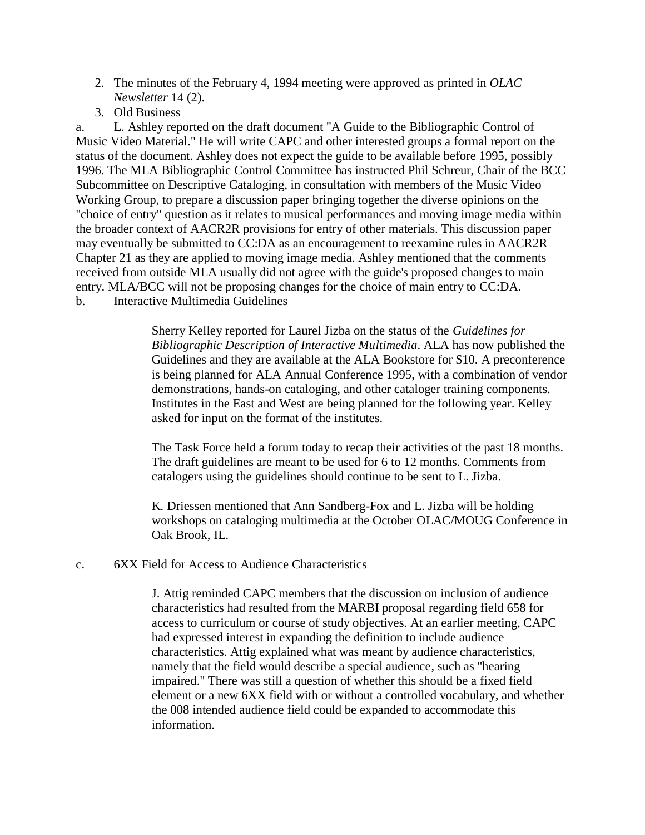- 2. The [minutes](http://ublib.buffalo.edu/libraries/units/cts/olac/newsletters/june94.html#capc) of the February 4, 1994 meeting were approved as printed in *OLAC Newsletter* 14 (2).
- 3. Old Business

a. L. Ashley reported on the draft document "A Guide to the Bibliographic Control of Music Video Material." He will write CAPC and other interested groups a formal report on the status of the document. Ashley does not expect the guide to be available before 1995, possibly 1996. The MLA Bibliographic Control Committee has instructed Phil Schreur, Chair of the BCC Subcommittee on Descriptive Cataloging, in consultation with members of the Music Video Working Group, to prepare a discussion paper bringing together the diverse opinions on the "choice of entry" question as it relates to musical performances and moving image media within the broader context of AACR2R provisions for entry of other materials. This discussion paper may eventually be submitted to CC:DA as an encouragement to reexamine rules in AACR2R Chapter 21 as they are applied to moving image media. Ashley mentioned that the comments received from outside MLA usually did not agree with the guide's proposed changes to main entry. MLA/BCC will not be proposing changes for the choice of main entry to CC:DA. b. Interactive Multimedia Guidelines

> Sherry Kelley reported for Laurel Jizba on the status of the *Guidelines for Bibliographic Description of Interactive Multimedia*. ALA has now published the Guidelines and they are available at the ALA Bookstore for \$10. A preconference is being planned for ALA Annual Conference 1995, with a combination of vendor demonstrations, hands-on cataloging, and other cataloger training components. Institutes in the East and West are being planned for the following year. Kelley asked for input on the format of the institutes.

> The Task Force held a forum today to recap their activities of the past 18 months. The draft guidelines are meant to be used for 6 to 12 months. Comments from catalogers using the guidelines should continue to be sent to L. Jizba.

K. Driessen mentioned that Ann Sandberg-Fox and L. Jizba will be holding workshops on cataloging multimedia at the October OLAC/MOUG Conference in Oak Brook, IL.

c. 6XX Field for Access to Audience Characteristics

J. Attig reminded CAPC members that the discussion on inclusion of audience characteristics had resulted from the MARBI proposal regarding field 658 for access to curriculum or course of study objectives. At an earlier meeting, CAPC had expressed interest in expanding the definition to include audience characteristics. Attig explained what was meant by audience characteristics, namely that the field would describe a special audience, such as "hearing impaired." There was still a question of whether this should be a fixed field element or a new 6XX field with or without a controlled vocabulary, and whether the 008 intended audience field could be expanded to accommodate this information.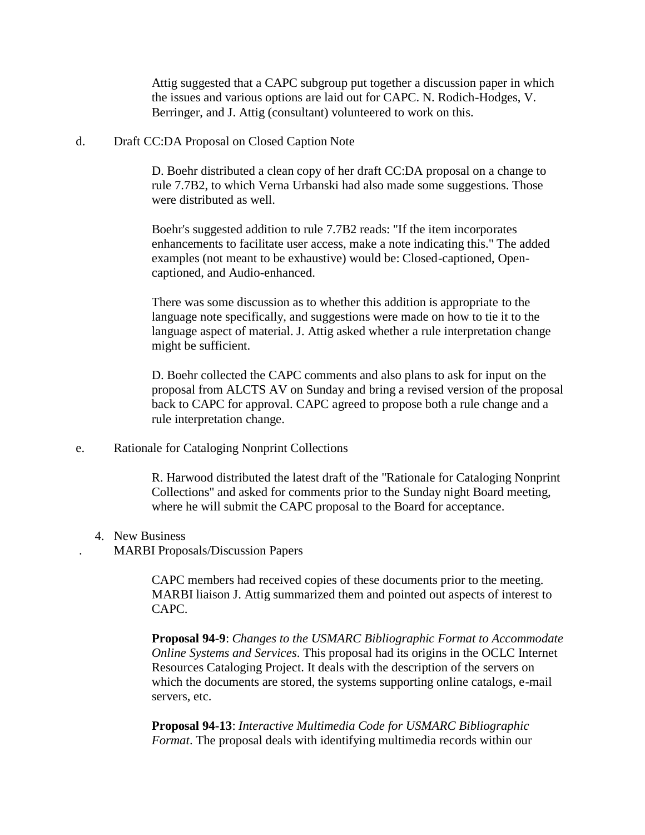Attig suggested that a CAPC subgroup put together a discussion paper in which the issues and various options are laid out for CAPC. N. Rodich-Hodges, V. Berringer, and J. Attig (consultant) volunteered to work on this.

d. Draft CC:DA Proposal on Closed Caption Note

D. Boehr distributed a clean copy of her draft CC:DA proposal on a change to rule 7.7B2, to which Verna Urbanski had also made some suggestions. Those were distributed as well.

Boehr's suggested addition to rule 7.7B2 reads: "If the item incorporates enhancements to facilitate user access, make a note indicating this." The added examples (not meant to be exhaustive) would be: Closed-captioned, Opencaptioned, and Audio-enhanced.

There was some discussion as to whether this addition is appropriate to the language note specifically, and suggestions were made on how to tie it to the language aspect of material. J. Attig asked whether a rule interpretation change might be sufficient.

D. Boehr collected the CAPC comments and also plans to ask for input on the proposal from ALCTS AV on Sunday and bring a revised version of the proposal back to CAPC for approval. CAPC agreed to propose both a rule change and a rule interpretation change.

e. Rationale for Cataloging Nonprint Collections

R. Harwood distributed the latest draft of the "Rationale for Cataloging Nonprint Collections" and asked for comments prior to the Sunday night Board meeting, where he will submit the CAPC proposal to the Board for acceptance.

4. New Business

. MARBI Proposals/Discussion Papers

CAPC members had received copies of these documents prior to the meeting. MARBI liaison J. Attig summarized them and pointed out aspects of interest to CAPC.

**Proposal 94-9**: *Changes to the USMARC Bibliographic Format to Accommodate Online Systems and Services*. This proposal had its origins in the OCLC Internet Resources Cataloging Project. It deals with the description of the servers on which the documents are stored, the systems supporting online catalogs, e-mail servers, etc.

**Proposal 94-13**: *Interactive Multimedia Code for USMARC Bibliographic Format*. The proposal deals with identifying multimedia records within our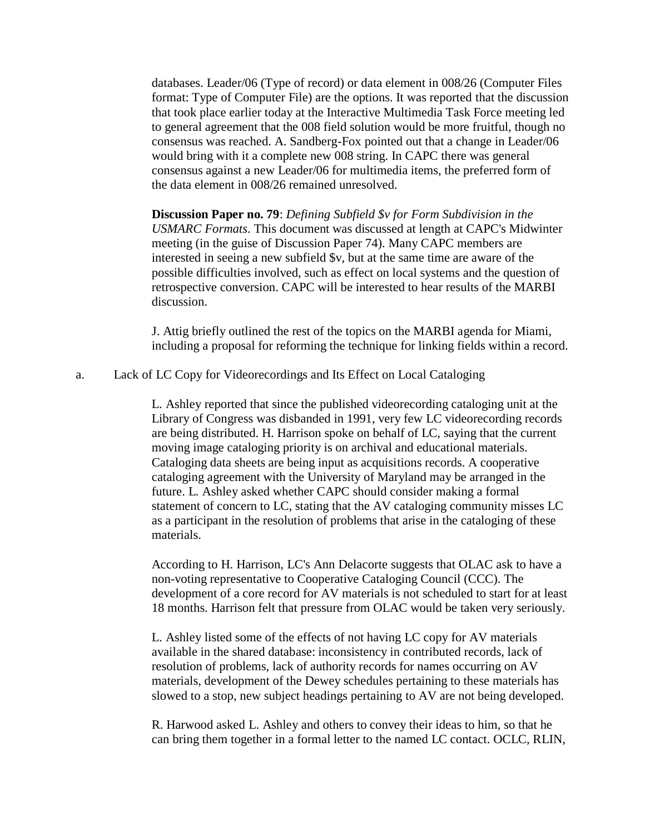databases. Leader/06 (Type of record) or data element in 008/26 (Computer Files format: Type of Computer File) are the options. It was reported that the discussion that took place earlier today at the Interactive Multimedia Task Force meeting led to general agreement that the 008 field solution would be more fruitful, though no consensus was reached. A. Sandberg-Fox pointed out that a change in Leader/06 would bring with it a complete new 008 string. In CAPC there was general consensus against a new Leader/06 for multimedia items, the preferred form of the data element in 008/26 remained unresolved.

**Discussion Paper no. 79**: *Defining Subfield \$v for Form Subdivision in the USMARC Formats*. This document was discussed at length at CAPC's Midwinter meeting (in the guise of Discussion Paper 74). Many CAPC members are interested in seeing a new subfield \$v, but at the same time are aware of the possible difficulties involved, such as effect on local systems and the question of retrospective conversion. CAPC will be interested to hear results of the MARBI discussion.

J. Attig briefly outlined the rest of the topics on the MARBI agenda for Miami, including a proposal for reforming the technique for linking fields within a record.

a. Lack of LC Copy for Videorecordings and Its Effect on Local Cataloging

L. Ashley reported that since the published videorecording cataloging unit at the Library of Congress was disbanded in 1991, very few LC videorecording records are being distributed. H. Harrison spoke on behalf of LC, saying that the current moving image cataloging priority is on archival and educational materials. Cataloging data sheets are being input as acquisitions records. A cooperative cataloging agreement with the University of Maryland may be arranged in the future. L. Ashley asked whether CAPC should consider making a formal statement of concern to LC, stating that the AV cataloging community misses LC as a participant in the resolution of problems that arise in the cataloging of these materials.

According to H. Harrison, LC's Ann Delacorte suggests that OLAC ask to have a non-voting representative to Cooperative Cataloging Council (CCC). The development of a core record for AV materials is not scheduled to start for at least 18 months. Harrison felt that pressure from OLAC would be taken very seriously.

L. Ashley listed some of the effects of not having LC copy for AV materials available in the shared database: inconsistency in contributed records, lack of resolution of problems, lack of authority records for names occurring on AV materials, development of the Dewey schedules pertaining to these materials has slowed to a stop, new subject headings pertaining to AV are not being developed.

R. Harwood asked L. Ashley and others to convey their ideas to him, so that he can bring them together in a formal letter to the named LC contact. OCLC, RLIN,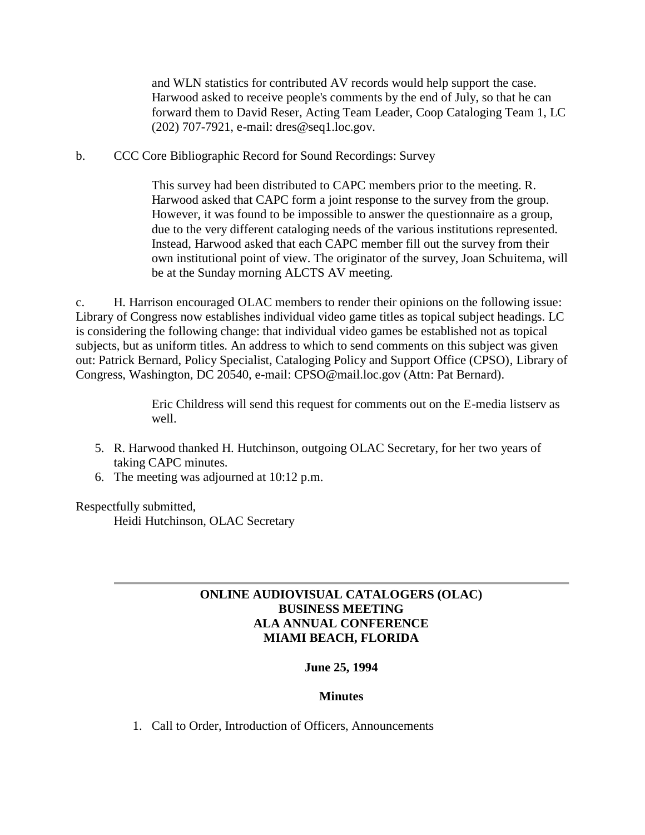and WLN statistics for contributed AV records would help support the case. Harwood asked to receive people's comments by the end of July, so that he can forward them to David Reser, Acting Team Leader, Coop Cataloging Team 1, LC (202) 707-7921, e-mail: [dres@seq1.loc.gov.](mailto:dres@seq1.loc.gov)

b. CCC Core Bibliographic Record for Sound Recordings: Survey

This survey had been distributed to CAPC members prior to the meeting. R. Harwood asked that CAPC form a joint response to the survey from the group. However, it was found to be impossible to answer the questionnaire as a group, due to the very different cataloging needs of the various institutions represented. Instead, Harwood asked that each CAPC member fill out the survey from their own institutional point of view. The originator of the survey, Joan Schuitema, will be at the Sunday morning ALCTS AV meeting.

c. H. Harrison encouraged OLAC members to render their opinions on the following issue: Library of Congress now establishes individual video game titles as topical subject headings. LC is considering the following change: that individual video games be established not as topical subjects, but as uniform titles. An address to which to send comments on this subject was given out: Patrick Bernard, Policy Specialist, Cataloging Policy and Support Office (CPSO), Library of Congress, Washington, DC 20540, e-mail: [CPSO@mail.loc.gov](mailto:CPSO@mail.loc.gov) (Attn: Pat Bernard).

> Eric Childress will send this request for comments out on the E-media listserv as well.

- 5. R. Harwood thanked H. Hutchinson, outgoing OLAC Secretary, for her two years of taking CAPC minutes.
- 6. The meeting was adjourned at 10:12 p.m.

Respectfully submitted,

Heidi Hutchinson, OLAC Secretary

# **ONLINE AUDIOVISUAL CATALOGERS (OLAC) BUSINESS MEETING ALA ANNUAL CONFERENCE MIAMI BEACH, FLORIDA**

# **June 25, 1994**

### **Minutes**

1. Call to Order, Introduction of Officers, Announcements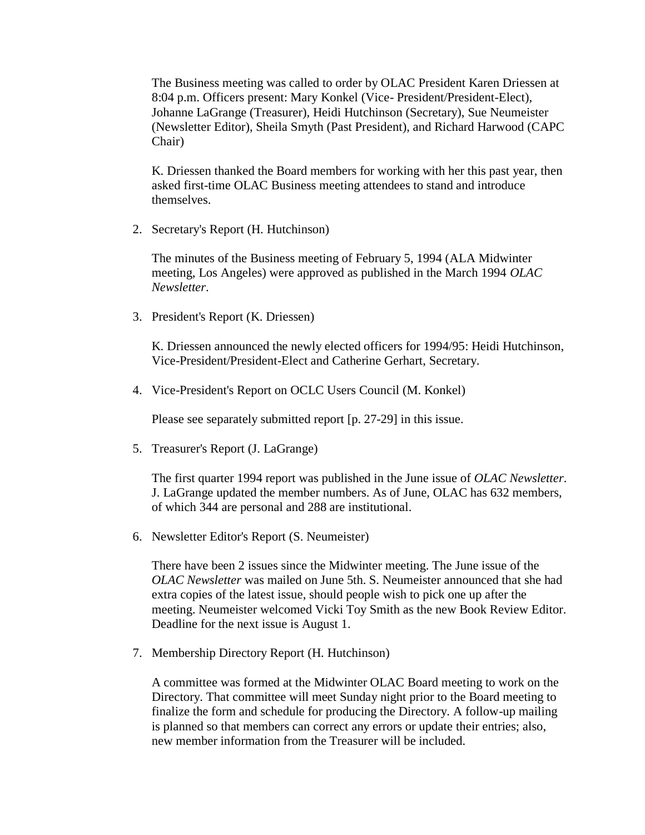The Business meeting was called to order by OLAC President Karen Driessen at 8:04 p.m. Officers present: Mary Konkel (Vice- President/President-Elect), Johanne LaGrange (Treasurer), Heidi Hutchinson (Secretary), Sue Neumeister (Newsletter Editor), Sheila Smyth (Past President), and Richard Harwood (CAPC Chair)

K. Driessen thanked the Board members for working with her this past year, then asked first-time OLAC Business meeting attendees to stand and introduce themselves.

2. Secretary's Report (H. Hutchinson)

The [minutes](http://ublib.buffalo.edu/libraries/units/cts/olac/newsletters/march94.html#mtgmins) of the Business meeting of February 5, 1994 (ALA Midwinter meeting, Los Angeles) were approved as published in the March 1994 *OLAC Newsletter*.

3. President's Report (K. Driessen)

K. Driessen announced the newly elected officers for 1994/95: Heidi Hutchinson, Vice-President/President-Elect and Catherine Gerhart, Secretary.

4. Vice-President's Report on OCLC Users Council (M. Konkel)

Please see separately submitted [report \[p. 27-29\]](http://ublib.buffalo.edu/libraries/units/cts/olac/newsletters/sept94.html#oclcuc) in this issue.

5. Treasurer's Report (J. LaGrange)

The [first quarter 1994 report](http://ublib.buffalo.edu/libraries/units/cts/olac/newsletters/june94.html#treas) was published in the June issue of *OLAC Newsletter*. J. LaGrange updated the member numbers. As of June, OLAC has 632 members, of which 344 are personal and 288 are institutional.

6. Newsletter Editor's Report (S. Neumeister)

There have been 2 issues since the Midwinter meeting. The [June issue](http://ublib.buffalo.edu/libraries/units/cts/olac/newsletters/june94.html) of the *OLAC Newsletter* was mailed on June 5th. S. Neumeister announced that she had extra copies of the latest issue, should people wish to pick one up after the meeting. Neumeister welcomed Vicki Toy Smith as the new Book Review Editor. Deadline for the next issue is August 1.

7. Membership Directory Report (H. Hutchinson)

A committee was formed at the Midwinter OLAC Board meeting to work on the Directory. That committee will meet Sunday night prior to the Board meeting to finalize the form and schedule for producing the Directory. A follow-up mailing is planned so that members can correct any errors or update their entries; also, new member information from the Treasurer will be included.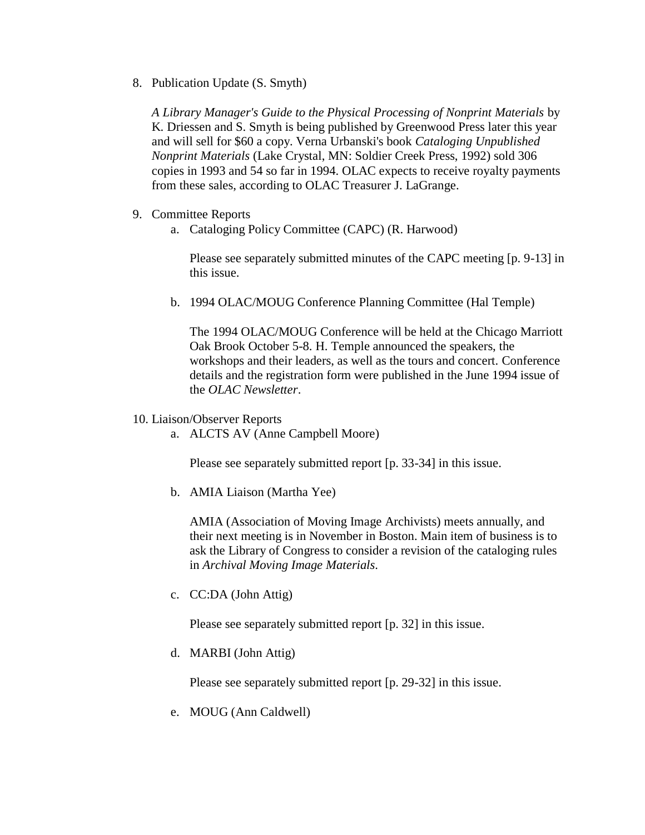8. Publication Update (S. Smyth)

*A Library Manager's Guide to the Physical Processing of Nonprint Materials* by K. Driessen and S. Smyth is being published by Greenwood Press later this year and will sell for \$60 a copy. Verna Urbanski's book *Cataloging Unpublished Nonprint Materials* (Lake Crystal, MN: Soldier Creek Press, 1992) sold 306 copies in 1993 and 54 so far in 1994. OLAC expects to receive royalty payments from these sales, according to OLAC Treasurer J. LaGrange.

- 9. Committee Reports
	- a. [Cataloging Policy Committee](http://ublib.buffalo.edu/libraries/units/cts/olac/newsletters/sept94.html#capcmins) (CAPC) (R. Harwood)

Please see separately submitted minutes of the CAPC meeting [p. 9-13] in this issue.

b. 1994 OLAC/MOUG Conference Planning Committee (Hal Temple)

The 1994 OLAC/MOUG Conference will be held at the Chicago Marriott Oak Brook October 5-8. H. Temple announced the speakers, the workshops and their leaders, as well as the tours and concert. [Conference](http://ublib.buffalo.edu/libraries/units/cts/olac/newsletters/june94.html#olacmoug)  [details](http://ublib.buffalo.edu/libraries/units/cts/olac/newsletters/june94.html#olacmoug) and the registration form were published in the June 1994 issue of the *OLAC Newsletter*.

- 10. Liaison/Observer Reports
	- a. [ALCTS AV](http://ublib.buffalo.edu/libraries/units/cts/olac/newsletters/sept94.html#alctsav) (Anne Campbell Moore)

Please see separately submitted report [p. 33-34] in this issue.

b. AMIA Liaison (Martha Yee)

AMIA (Association of Moving Image Archivists) meets annually, and their next meeting is in November in Boston. Main item of business is to ask the Library of Congress to consider a revision of the cataloging rules in *Archival Moving Image Materials*.

c. [CC:DA](http://ublib.buffalo.edu/libraries/units/cts/olac/newsletters/sept94.html#ccda) (John Attig)

Please see separately submitted report [p. 32] in this issue.

d. [MARBI](http://ublib.buffalo.edu/libraries/units/cts/olac/newsletters/sept94.html#marbi) (John Attig)

Please see separately submitted report [p. 29-32] in this issue.

e. MOUG (Ann Caldwell)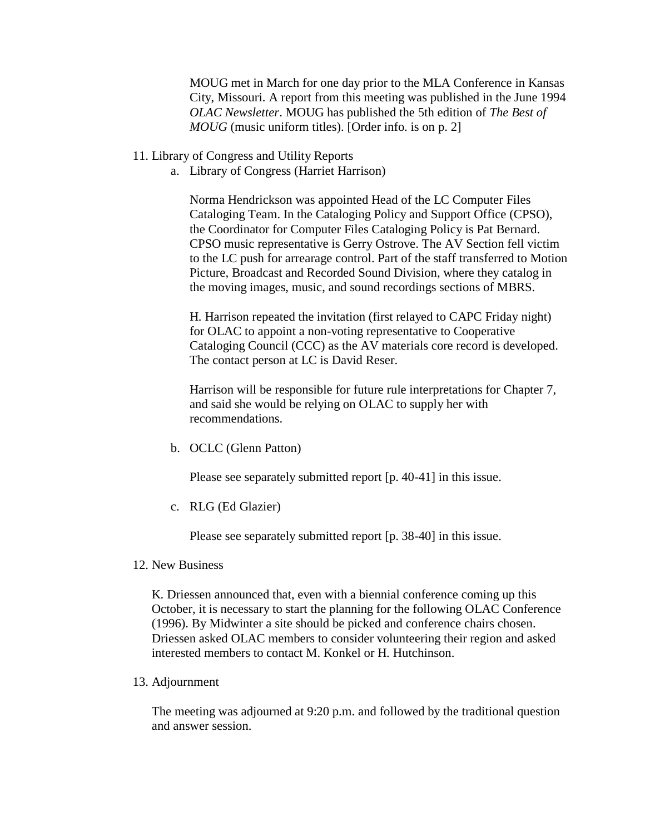MOUG met in March for one day prior to the MLA Conference in Kansas City, Missouri. A [report](http://ublib.buffalo.edu/libraries/units/cts/olac/newsletters/june94.html#moug) from this meeting was published in the June 1994 *OLAC Newsletter*. MOUG has published the 5th edition of *The Best of MOUG* (music uniform titles). [Order info. is on [p. 2\]](http://ublib.buffalo.edu/libraries/units/cts/olac/newsletters/sept94.html#editor)

- 11. Library of Congress and Utility Reports
	- a. Library of Congress (Harriet Harrison)

Norma Hendrickson was appointed Head of the LC Computer Files Cataloging Team. In the Cataloging Policy and Support Office (CPSO), the Coordinator for Computer Files Cataloging Policy is Pat Bernard. CPSO music representative is Gerry Ostrove. The AV Section fell victim to the LC push for arrearage control. Part of the staff transferred to Motion Picture, Broadcast and Recorded Sound Division, where they catalog in the moving images, music, and sound recordings sections of MBRS.

H. Harrison repeated the invitation (first relayed to CAPC Friday night) for OLAC to appoint a non-voting representative to Cooperative Cataloging Council (CCC) as the AV materials core record is developed. The contact person at LC is David Reser.

Harrison will be responsible for future rule interpretations for Chapter 7, and said she would be relying on OLAC to supply her with recommendations.

b. [OCLC](http://ublib.buffalo.edu/libraries/units/cts/olac/newsletters/sept94.html#nwsoclc) (Glenn Patton)

Please see separately submitted report [p. 40-41] in this issue.

c. [RLG](http://ublib.buffalo.edu/libraries/units/cts/olac/newsletters/sept94.html#nwsrlin) (Ed Glazier)

Please see separately submitted report [p. 38-40] in this issue.

12. New Business

K. Driessen announced that, even with a biennial conference coming up this October, it is necessary to start the planning for the following OLAC Conference (1996). By Midwinter a site should be picked and conference chairs chosen. Driessen asked OLAC members to consider volunteering their region and asked interested members to contact M. Konkel or H. Hutchinson.

13. Adjournment

The meeting was adjourned at 9:20 p.m. and followed by the traditional question and answer session.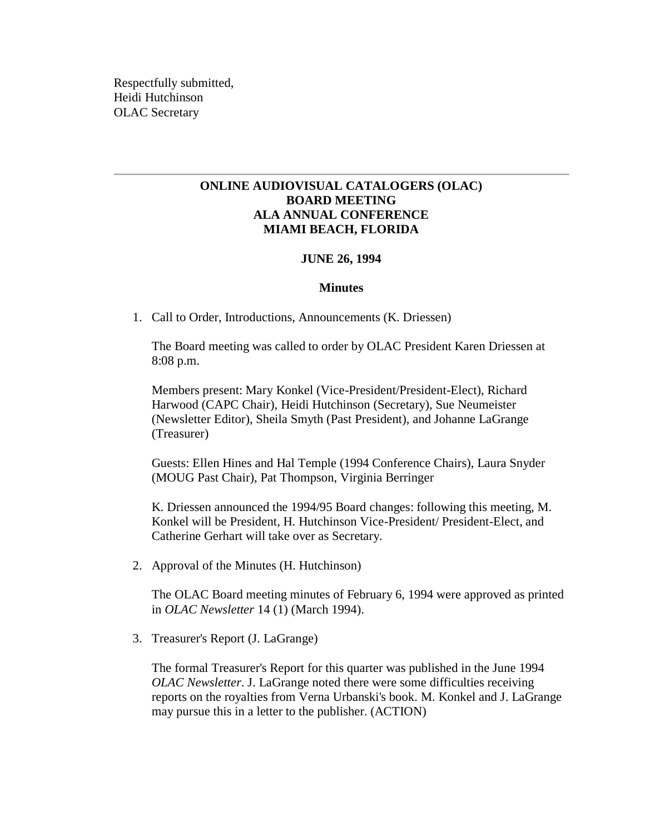Respectfully submitted, Heidi Hutchinson OLAC Secretary

# **ONLINE AUDIOVISUAL CATALOGERS (OLAC) BOARD MEETING ALA ANNUAL CONFERENCE MIAMI BEACH, FLORIDA**

### **JUNE 26, 1994**

#### **Minutes**

1. Call to Order, Introductions, Announcements (K. Driessen)

The Board meeting was called to order by OLAC President Karen Driessen at 8:08 p.m.

Members present: Mary Konkel (Vice-President/President-Elect), Richard Harwood (CAPC Chair), Heidi Hutchinson (Secretary), Sue Neumeister (Newsletter Editor), Sheila Smyth (Past President), and Johanne LaGrange (Treasurer)

Guests: Ellen Hines and Hal Temple (1994 Conference Chairs), Laura Snyder (MOUG Past Chair), Pat Thompson, Virginia Berringer

K. Driessen announced the 1994/95 Board changes: following this meeting, M. Konkel will be President, H. Hutchinson Vice-President/ President-Elect, and Catherine Gerhart will take over as Secretary.

2. Approval of the Minutes (H. Hutchinson)

The OLAC Board meeting [minutes](http://ublib.buffalo.edu/libraries/units/cts/olac/newsletters/march94.html#brdmins) of February 6, 1994 were approved as printed in *OLAC Newsletter* 14 (1) (March 1994).

3. Treasurer's Report (J. LaGrange)

The formal [Treasurer's Report](http://ublib.buffalo.edu/libraries/units/cts/olac/newsletters/june94.html#treas) for this quarter was published in the June 1994 *OLAC Newsletter*. J. LaGrange noted there were some difficulties receiving reports on the royalties from Verna Urbanski's book. M. Konkel and J. LaGrange may pursue this in a letter to the publisher. (ACTION)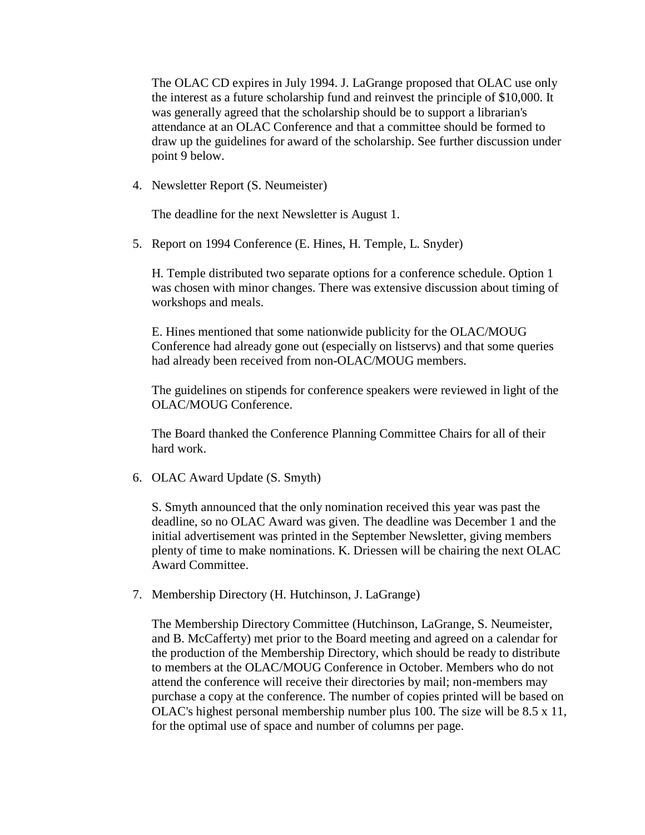The OLAC CD expires in July 1994. J. LaGrange proposed that OLAC use only the interest as a future scholarship fund and reinvest the principle of \$10,000. It was generally agreed that the scholarship should be to support a librarian's attendance at an OLAC Conference and that a committee should be formed to draw up the guidelines for award of the scholarship. See further discussion under point 9 below.

4. Newsletter Report (S. Neumeister)

The deadline for the next Newsletter is August 1.

5. Report on 1994 Conference (E. Hines, H. Temple, L. Snyder)

H. Temple distributed two separate options for a conference schedule. Option 1 was chosen with minor changes. There was extensive discussion about timing of workshops and meals.

E. Hines mentioned that some nationwide publicity for the OLAC/MOUG Conference had already gone out (especially on listservs) and that some queries had already been received from non-OLAC/MOUG members.

The guidelines on stipends for conference speakers were reviewed in light of the OLAC/MOUG Conference.

The Board thanked the Conference Planning Committee Chairs for all of their hard work.

6. OLAC Award Update (S. Smyth)

S. Smyth announced that the only nomination received this year was past the deadline, so no OLAC Award was given. The deadline was December 1 and the initial advertisement was printed in the September Newsletter, giving members plenty of time to make nominations. K. Driessen will be chairing the next OLAC Award Committee.

7. Membership Directory (H. Hutchinson, J. LaGrange)

The Membership Directory Committee (Hutchinson, LaGrange, S. Neumeister, and B. McCafferty) met prior to the Board meeting and agreed on a calendar for the production of the Membership Directory, which should be ready to distribute to members at the OLAC/MOUG Conference in October. Members who do not attend the conference will receive their directories by mail; non-members may purchase a copy at the conference. The number of copies printed will be based on OLAC's highest personal membership number plus 100. The size will be 8.5 x 11, for the optimal use of space and number of columns per page.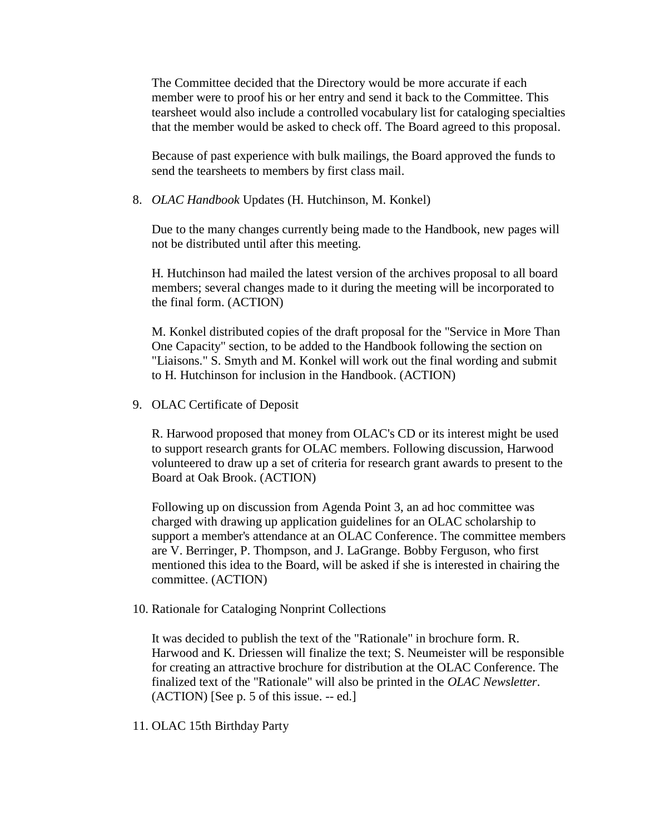The Committee decided that the Directory would be more accurate if each member were to proof his or her entry and send it back to the Committee. This tearsheet would also include a controlled vocabulary list for cataloging specialties that the member would be asked to check off. The Board agreed to this proposal.

Because of past experience with bulk mailings, the Board approved the funds to send the tearsheets to members by first class mail.

8. *OLAC Handbook* Updates (H. Hutchinson, M. Konkel)

Due to the many changes currently being made to the Handbook, new pages will not be distributed until after this meeting.

H. Hutchinson had mailed the latest version of the archives proposal to all board members; several changes made to it during the meeting will be incorporated to the final form. (ACTION)

M. Konkel distributed copies of the draft proposal for the "Service in More Than One Capacity" section, to be added to the Handbook following the section on "Liaisons." S. Smyth and M. Konkel will work out the final wording and submit to H. Hutchinson for inclusion in the Handbook. (ACTION)

9. OLAC Certificate of Deposit

R. Harwood proposed that money from OLAC's CD or its interest might be used to support research grants for OLAC members. Following discussion, Harwood volunteered to draw up a set of criteria for research grant awards to present to the Board at Oak Brook. (ACTION)

Following up on discussion from Agenda Point 3, an ad hoc committee was charged with drawing up application guidelines for an OLAC scholarship to support a member's attendance at an OLAC Conference. The committee members are V. Berringer, P. Thompson, and J. LaGrange. Bobby Ferguson, who first mentioned this idea to the Board, will be asked if she is interested in chairing the committee. (ACTION)

10. Rationale for Cataloging Nonprint Collections

It was decided to publish the text of the "Rationale" in brochure form. R. Harwood and K. Driessen will finalize the text; S. Neumeister will be responsible for creating an attractive brochure for distribution at the OLAC Conference. The finalized text of the "Rationale" will also be printed in the *OLAC Newsletter*. (ACTION) [See [p. 5](http://ublib.buffalo.edu/libraries/units/cts/olac/newsletters/sept94.html#rcnc) of this issue. -- ed.]

11. OLAC 15th Birthday Party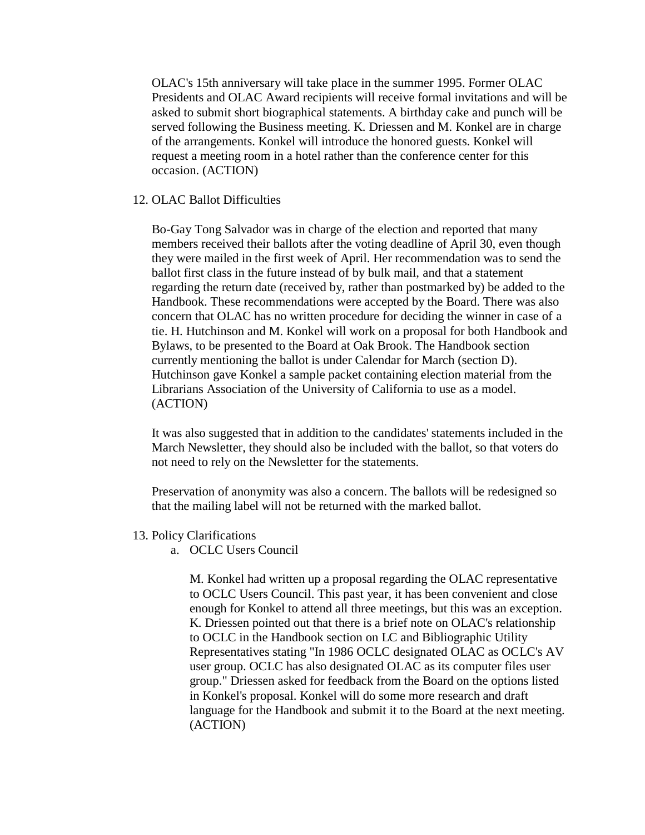OLAC's 15th anniversary will take place in the summer 1995. Former OLAC Presidents and OLAC Award recipients will receive formal invitations and will be asked to submit short biographical statements. A birthday cake and punch will be served following the Business meeting. K. Driessen and M. Konkel are in charge of the arrangements. Konkel will introduce the honored guests. Konkel will request a meeting room in a hotel rather than the conference center for this occasion. (ACTION)

#### 12. OLAC Ballot Difficulties

Bo-Gay Tong Salvador was in charge of the election and reported that many members received their ballots after the voting deadline of April 30, even though they were mailed in the first week of April. Her recommendation was to send the ballot first class in the future instead of by bulk mail, and that a statement regarding the return date (received by, rather than postmarked by) be added to the Handbook. These recommendations were accepted by the Board. There was also concern that OLAC has no written procedure for deciding the winner in case of a tie. H. Hutchinson and M. Konkel will work on a proposal for both Handbook and Bylaws, to be presented to the Board at Oak Brook. The Handbook section currently mentioning the ballot is under Calendar for March (section D). Hutchinson gave Konkel a sample packet containing election material from the Librarians Association of the University of California to use as a model. (ACTION)

It was also suggested that in addition to the candidates' statements included in the March Newsletter, they should also be included with the ballot, so that voters do not need to rely on the Newsletter for the statements.

Preservation of anonymity was also a concern. The ballots will be redesigned so that the mailing label will not be returned with the marked ballot.

- 13. Policy Clarifications
	- a. OCLC Users Council

M. Konkel had written up a proposal regarding the OLAC representative to OCLC Users Council. This past year, it has been convenient and close enough for Konkel to attend all three meetings, but this was an exception. K. Driessen pointed out that there is a brief note on OLAC's relationship to OCLC in the Handbook section on LC and Bibliographic Utility Representatives stating "In 1986 OCLC designated OLAC as OCLC's AV user group. OCLC has also designated OLAC as its computer files user group." Driessen asked for feedback from the Board on the options listed in Konkel's proposal. Konkel will do some more research and draft language for the Handbook and submit it to the Board at the next meeting. (ACTION)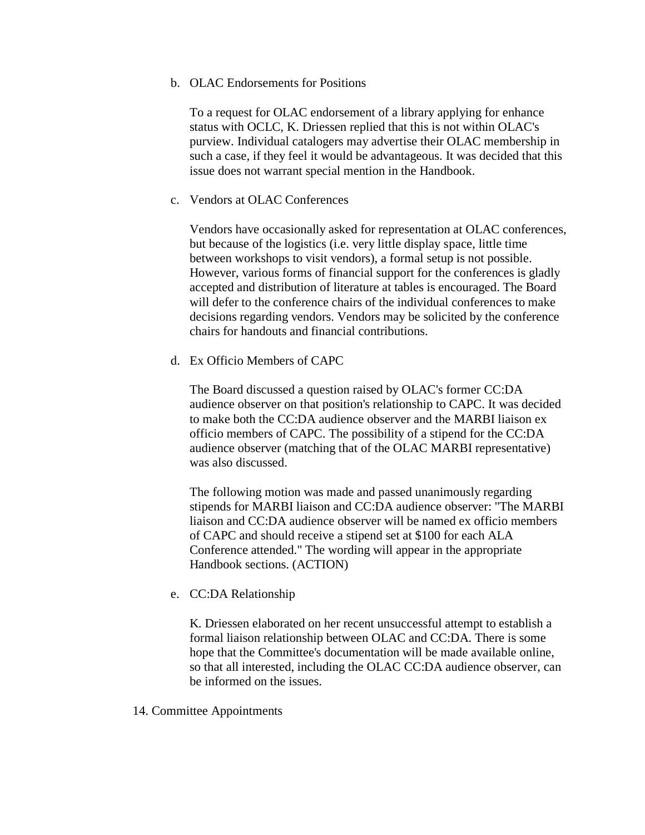#### b. OLAC Endorsements for Positions

To a request for OLAC endorsement of a library applying for enhance status with OCLC, K. Driessen replied that this is not within OLAC's purview. Individual catalogers may advertise their OLAC membership in such a case, if they feel it would be advantageous. It was decided that this issue does not warrant special mention in the Handbook.

#### c. Vendors at OLAC Conferences

Vendors have occasionally asked for representation at OLAC conferences, but because of the logistics (i.e. very little display space, little time between workshops to visit vendors), a formal setup is not possible. However, various forms of financial support for the conferences is gladly accepted and distribution of literature at tables is encouraged. The Board will defer to the conference chairs of the individual conferences to make decisions regarding vendors. Vendors may be solicited by the conference chairs for handouts and financial contributions.

### d. Ex Officio Members of CAPC

The Board discussed a question raised by OLAC's former CC:DA audience observer on that position's relationship to CAPC. It was decided to make both the CC:DA audience observer and the MARBI liaison ex officio members of CAPC. The possibility of a stipend for the CC:DA audience observer (matching that of the OLAC MARBI representative) was also discussed.

The following motion was made and passed unanimously regarding stipends for MARBI liaison and CC:DA audience observer: "The MARBI liaison and CC:DA audience observer will be named ex officio members of CAPC and should receive a stipend set at \$100 for each ALA Conference attended." The wording will appear in the appropriate Handbook sections. (ACTION)

### e. CC:DA Relationship

K. Driessen elaborated on her recent unsuccessful attempt to establish a formal liaison relationship between OLAC and CC:DA. There is some hope that the Committee's documentation will be made available online, so that all interested, including the OLAC CC:DA audience observer, can be informed on the issues.

### 14. Committee Appointments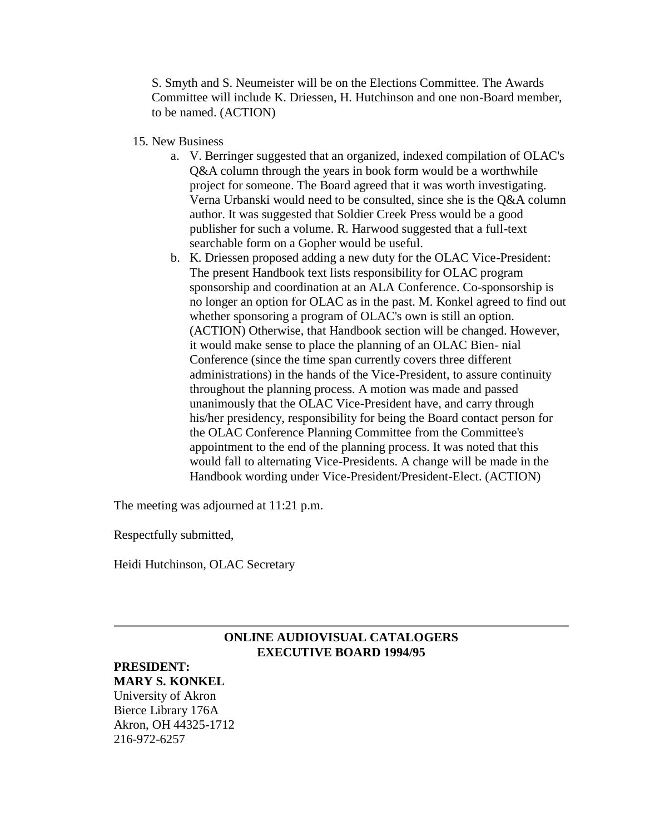S. Smyth and S. Neumeister will be on the Elections Committee. The Awards Committee will include K. Driessen, H. Hutchinson and one non-Board member, to be named. (ACTION)

- 15. New Business
	- a. V. Berringer suggested that an organized, indexed compilation of OLAC's Q&A column through the years in book form would be a worthwhile project for someone. The Board agreed that it was worth investigating. Verna Urbanski would need to be consulted, since she is the Q&A column author. It was suggested that Soldier Creek Press would be a good publisher for such a volume. R. Harwood suggested that a full-text searchable form on a Gopher would be useful.
	- b. K. Driessen proposed adding a new duty for the OLAC Vice-President: The present Handbook text lists responsibility for OLAC program sponsorship and coordination at an ALA Conference. Co-sponsorship is no longer an option for OLAC as in the past. M. Konkel agreed to find out whether sponsoring a program of OLAC's own is still an option. (ACTION) Otherwise, that Handbook section will be changed. However, it would make sense to place the planning of an OLAC Bien- nial Conference (since the time span currently covers three different administrations) in the hands of the Vice-President, to assure continuity throughout the planning process. A motion was made and passed unanimously that the OLAC Vice-President have, and carry through his/her presidency, responsibility for being the Board contact person for the OLAC Conference Planning Committee from the Committee's appointment to the end of the planning process. It was noted that this would fall to alternating Vice-Presidents. A change will be made in the Handbook wording under Vice-President/President-Elect. (ACTION)

The meeting was adjourned at 11:21 p.m.

Respectfully submitted,

Heidi Hutchinson, OLAC Secretary

### **ONLINE AUDIOVISUAL CATALOGERS EXECUTIVE BOARD 1994/95**

#### **PRESIDENT: MARY S. KONKEL**

University of Akron Bierce Library 176A Akron, OH 44325-1712 216-972-6257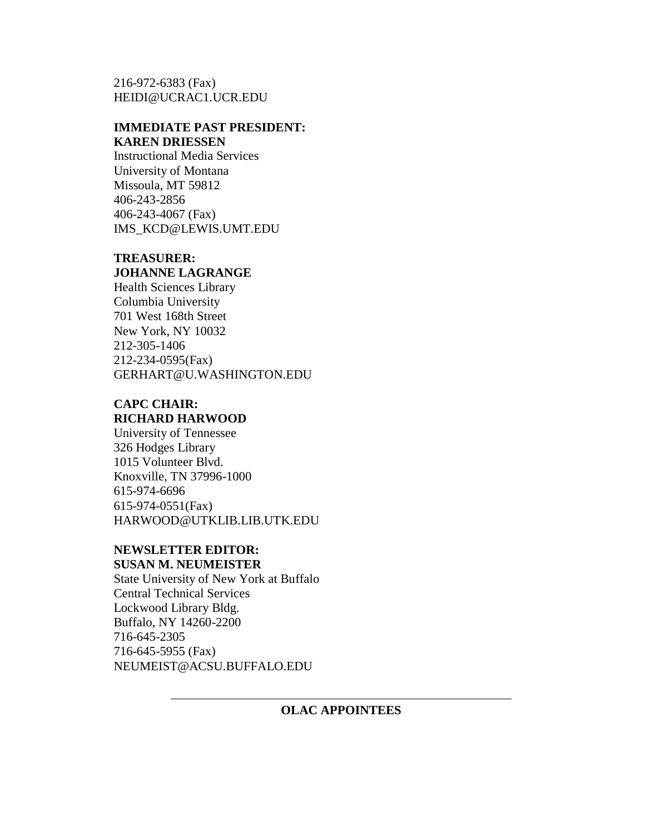216-972-6383 (Fax) [HEIDI@UCRAC1.UCR.EDU](mailto:MARYKONKEL@UAKRON.EDU%3E%20%20%20%20%20%20%20%20%20%20MARYKONKEL@UAKRON.EDU%3C/a%3E%3Cp%3E%20%20%20%20%20%20%20%20%20%3Cb%3EVICE-PRESIDENT/PRESIDENT-ELECT:%3Cbr%3EHEIDI%20HUTCHINSON%20%3C/b%3E%3Cbr%3E%20%20%20%20%20%20%20%20%20%20%20%20%20%20%20%20%20%20%20%20%20%20%20%20Rivera%20Library%3Cbr%3EP.O.%20Box%205900%20%20%20%20%20%3Cbr%3E%20%20%20%20%20%20%20University%20of%20California%3Cbr%3ERiverside,%20CA%2092517%20%20%20%20%20%20%20%20%20%3Cbr%3E%20%20%20%20%20%20714-787-5051%20%20%20%20%20%20%20%20%20%20%20%20%20%20%20%20%20%20%20%20%3Cbr%3E%20%20%20%20%20%20%20714-787-3285%20%28Fax%29%20%20%20%20%20%20%20%20%20%20%20%20%20%20%20%3Cbr%3E%3Ca%20href=)

# **IMMEDIATE PAST PRESIDENT: KAREN DRIESSEN**

Instructional Media Services University of Montana Missoula, MT 59812 406-243-2856 406-243-4067 (Fax) [IMS\\_KCD@LEWIS.UMT.EDU](mailto:IMS_KCD@LEWIS.UMT.EDU)

# **TREASURER: JOHANNE LAGRANGE**

Health Sciences Library Columbia University 701 West 168th Street New York, NY 10032 212-305-1406 212-234-0595(Fax) [GERHART@U.WASHINGTON.EDU](mailto:JL70@COLUMBIA.EDU%3EJL70@COLUMBIA.EDU%3C/a%3E%3Cp%3E%3Cb%3ESECRETARY:%3CBR%3ECATHERINE%20GERHART%3C/b%3E%3Cbr%3ECataloging%20Division,%20FM-25%3Cbr%3EUniversity%20of%20Washington%20Libraries%3Cbr%3ESeattle,%20WA%2098195%3Cbr%3E206-543-1828%3Cbr%3E206-545-8049%28Fax%29%3Cbr%3E%3Ca%20href=)

# **CAPC CHAIR: RICHARD HARWOOD**

University of Tennessee 326 Hodges Library 1015 Volunteer Blvd. Knoxville, TN 37996-1000 615-974-6696 615-974-0551(Fax) [HARWOOD@UTKLIB.LIB.UTK.EDU](mailto:HARWOOD@UTKLIB.LIB.UTK.EDU)

#### **NEWSLETTER EDITOR: SUSAN M. NEUMEISTER**

State University of New York at Buffalo Central Technical Services Lockwood Library Bldg. Buffalo, NY 14260-2200 716-645-2305 716-645-5955 (Fax) [NEUMEIST@ACSU.BUFFALO.EDU](mailto:neumeist@acsu.buffalo.edu)

# **OLAC APPOINTEES**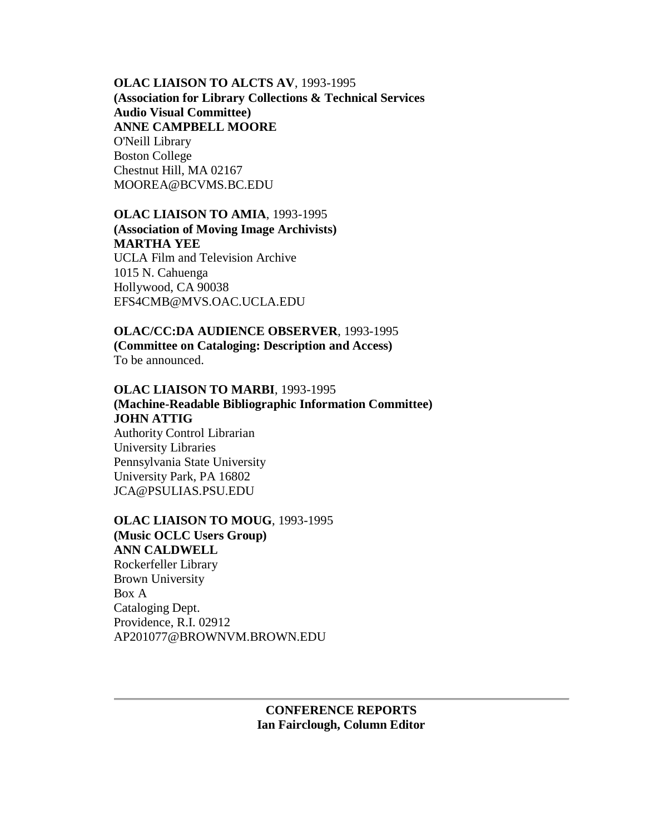#### **OLAC LIAISON TO ALCTS AV**, 1993-1995

**(Association for Library Collections & Technical Services Audio Visual Committee) ANNE CAMPBELL MOORE** O'Neill Library Boston College Chestnut Hill, MA 02167 MOOREA@BCVMS.BC.EDU

# **OLAC LIAISON TO AMIA**, 1993-1995 **(Association of Moving Image Archivists) MARTHA YEE** UCLA Film and Television Archive

1015 N. Cahuenga Hollywood, CA 90038 [EFS4CMB@MVS.OAC.UCLA.EDU](mailto:EFS4CMB@MVS.OAC.UCLA.EDU)

# **OLAC/CC:DA AUDIENCE OBSERVER**, 1993-1995 **(Committee on Cataloging: Description and Access)** To be announced.

# **OLAC LIAISON TO MARBI**, 1993-1995 **(Machine-Readable Bibliographic Information Committee) JOHN ATTIG** Authority Control Librarian University Libraries Pennsylvania State University University Park, PA 16802 [JCA@PSULIAS.PSU.EDU](mailto:JCA@PSULIAS.PSU.EDU)

# **OLAC LIAISON TO MOUG**, 1993-1995 **(Music OCLC Users Group) ANN CALDWELL** Rockerfeller Library Brown University Box A Cataloging Dept. Providence, R.I. 02912 [AP201077@BROWNVM.BROWN.EDU](mailto:AP201077@BROWNVM.BROWN.EDU)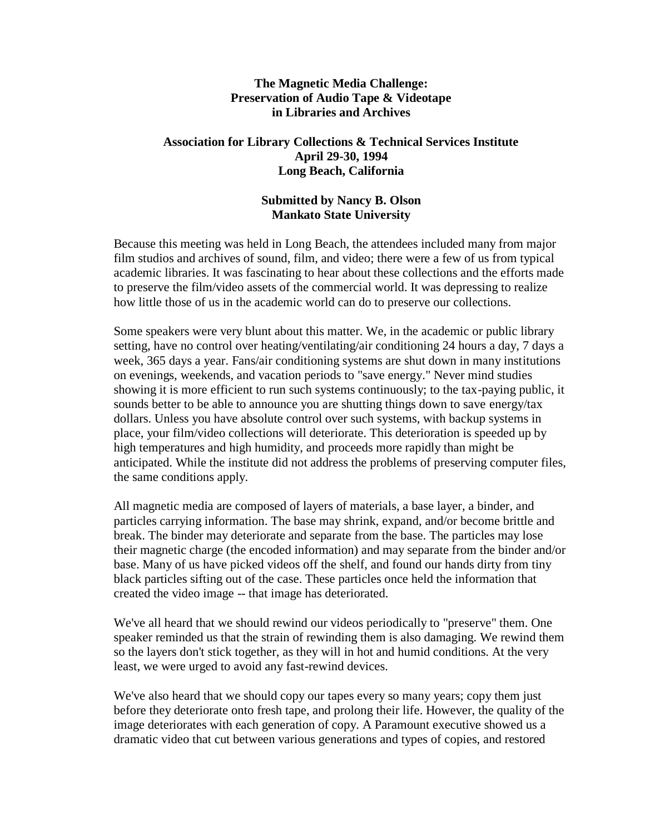### **The Magnetic Media Challenge: Preservation of Audio Tape & Videotape in Libraries and Archives**

### **Association for Library Collections & Technical Services Institute April 29-30, 1994 Long Beach, California**

# **Submitted by Nancy B. Olson Mankato State University**

Because this meeting was held in Long Beach, the attendees included many from major film studios and archives of sound, film, and video; there were a few of us from typical academic libraries. It was fascinating to hear about these collections and the efforts made to preserve the film/video assets of the commercial world. It was depressing to realize how little those of us in the academic world can do to preserve our collections.

Some speakers were very blunt about this matter. We, in the academic or public library setting, have no control over heating/ventilating/air conditioning 24 hours a day, 7 days a week, 365 days a year. Fans/air conditioning systems are shut down in many institutions on evenings, weekends, and vacation periods to "save energy." Never mind studies showing it is more efficient to run such systems continuously; to the tax-paying public, it sounds better to be able to announce you are shutting things down to save energy/tax dollars. Unless you have absolute control over such systems, with backup systems in place, your film/video collections will deteriorate. This deterioration is speeded up by high temperatures and high humidity, and proceeds more rapidly than might be anticipated. While the institute did not address the problems of preserving computer files, the same conditions apply.

All magnetic media are composed of layers of materials, a base layer, a binder, and particles carrying information. The base may shrink, expand, and/or become brittle and break. The binder may deteriorate and separate from the base. The particles may lose their magnetic charge (the encoded information) and may separate from the binder and/or base. Many of us have picked videos off the shelf, and found our hands dirty from tiny black particles sifting out of the case. These particles once held the information that created the video image -- that image has deteriorated.

We've all heard that we should rewind our videos periodically to "preserve" them. One speaker reminded us that the strain of rewinding them is also damaging. We rewind them so the layers don't stick together, as they will in hot and humid conditions. At the very least, we were urged to avoid any fast-rewind devices.

We've also heard that we should copy our tapes every so many years; copy them just before they deteriorate onto fresh tape, and prolong their life. However, the quality of the image deteriorates with each generation of copy. A Paramount executive showed us a dramatic video that cut between various generations and types of copies, and restored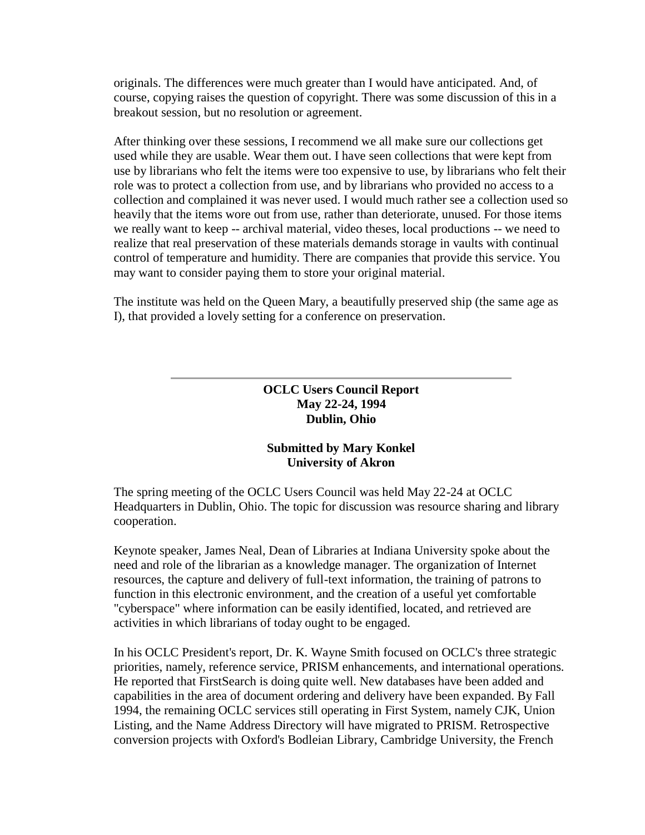originals. The differences were much greater than I would have anticipated. And, of course, copying raises the question of copyright. There was some discussion of this in a breakout session, but no resolution or agreement.

After thinking over these sessions, I recommend we all make sure our collections get used while they are usable. Wear them out. I have seen collections that were kept from use by librarians who felt the items were too expensive to use, by librarians who felt their role was to protect a collection from use, and by librarians who provided no access to a collection and complained it was never used. I would much rather see a collection used so heavily that the items wore out from use, rather than deteriorate, unused. For those items we really want to keep -- archival material, video theses, local productions -- we need to realize that real preservation of these materials demands storage in vaults with continual control of temperature and humidity. There are companies that provide this service. You may want to consider paying them to store your original material.

The institute was held on the Queen Mary, a beautifully preserved ship (the same age as I), that provided a lovely setting for a conference on preservation.

> **OCLC Users Council Report May 22-24, 1994 Dublin, Ohio**

# **Submitted by Mary Konkel University of Akron**

The spring meeting of the OCLC Users Council was held May 22-24 at OCLC Headquarters in Dublin, Ohio. The topic for discussion was resource sharing and library cooperation.

Keynote speaker, James Neal, Dean of Libraries at Indiana University spoke about the need and role of the librarian as a knowledge manager. The organization of Internet resources, the capture and delivery of full-text information, the training of patrons to function in this electronic environment, and the creation of a useful yet comfortable "cyberspace" where information can be easily identified, located, and retrieved are activities in which librarians of today ought to be engaged.

In his OCLC President's report, Dr. K. Wayne Smith focused on OCLC's three strategic priorities, namely, reference service, PRISM enhancements, and international operations. He reported that FirstSearch is doing quite well. New databases have been added and capabilities in the area of document ordering and delivery have been expanded. By Fall 1994, the remaining OCLC services still operating in First System, namely CJK, Union Listing, and the Name Address Directory will have migrated to PRISM. Retrospective conversion projects with Oxford's Bodleian Library, Cambridge University, the French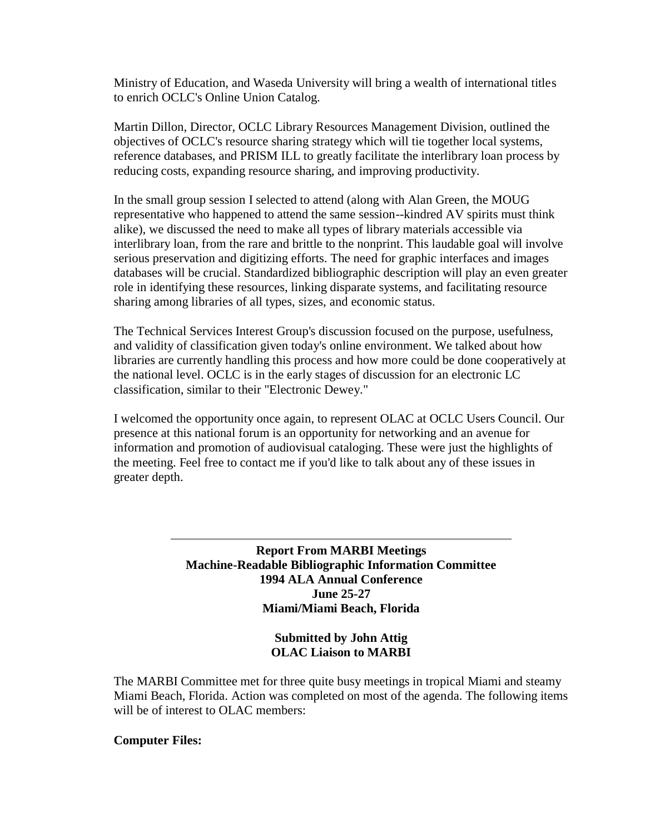Ministry of Education, and Waseda University will bring a wealth of international titles to enrich OCLC's Online Union Catalog.

Martin Dillon, Director, OCLC Library Resources Management Division, outlined the objectives of OCLC's resource sharing strategy which will tie together local systems, reference databases, and PRISM ILL to greatly facilitate the interlibrary loan process by reducing costs, expanding resource sharing, and improving productivity.

In the small group session I selected to attend (along with Alan Green, the MOUG representative who happened to attend the same session--kindred AV spirits must think alike), we discussed the need to make all types of library materials accessible via interlibrary loan, from the rare and brittle to the nonprint. This laudable goal will involve serious preservation and digitizing efforts. The need for graphic interfaces and images databases will be crucial. Standardized bibliographic description will play an even greater role in identifying these resources, linking disparate systems, and facilitating resource sharing among libraries of all types, sizes, and economic status.

The Technical Services Interest Group's discussion focused on the purpose, usefulness, and validity of classification given today's online environment. We talked about how libraries are currently handling this process and how more could be done cooperatively at the national level. OCLC is in the early stages of discussion for an electronic LC classification, similar to their "Electronic Dewey."

I welcomed the opportunity once again, to represent OLAC at OCLC Users Council. Our presence at this national forum is an opportunity for networking and an avenue for information and promotion of audiovisual cataloging. These were just the highlights of the meeting. Feel free to contact me if you'd like to talk about any of these issues in greater depth.

> **Report From MARBI Meetings Machine-Readable Bibliographic Information Committee 1994 ALA Annual Conference June 25-27 Miami/Miami Beach, Florida**

> > **Submitted by John Attig OLAC Liaison to MARBI**

The MARBI Committee met for three quite busy meetings in tropical Miami and steamy Miami Beach, Florida. Action was completed on most of the agenda. The following items will be of interest to OLAC members:

### **Computer Files:**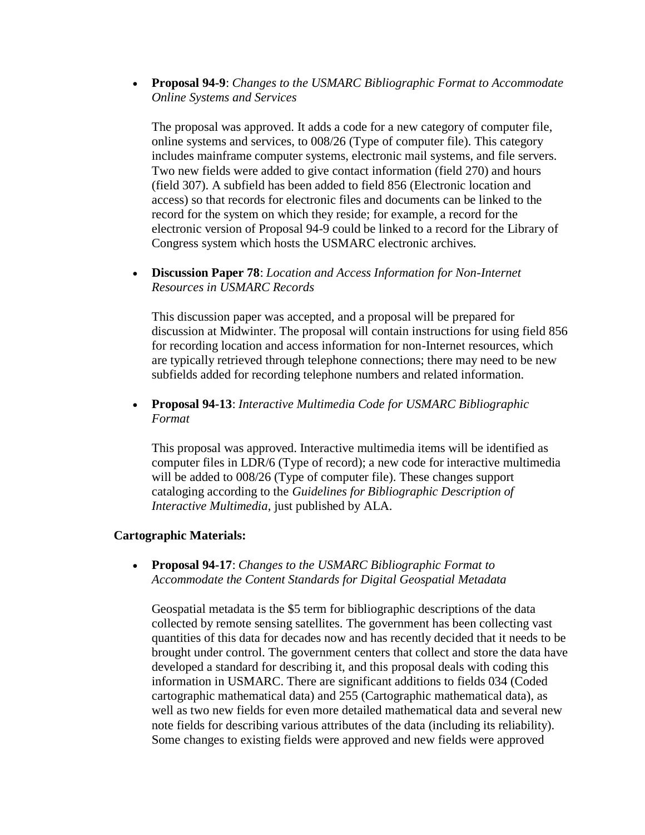**Proposal 94-9**: *Changes to the USMARC Bibliographic Format to Accommodate Online Systems and Services*

The proposal was approved. It adds a code for a new category of computer file, online systems and services, to 008/26 (Type of computer file). This category includes mainframe computer systems, electronic mail systems, and file servers. Two new fields were added to give contact information (field 270) and hours (field 307). A subfield has been added to field 856 (Electronic location and access) so that records for electronic files and documents can be linked to the record for the system on which they reside; for example, a record for the electronic version of Proposal 94-9 could be linked to a record for the Library of Congress system which hosts the USMARC electronic archives.

 **Discussion Paper 78**: *Location and Access Information for Non-Internet Resources in USMARC Records* 

This discussion paper was accepted, and a proposal will be prepared for discussion at Midwinter. The proposal will contain instructions for using field 856 for recording location and access information for non-Internet resources, which are typically retrieved through telephone connections; there may need to be new subfields added for recording telephone numbers and related information.

 **Proposal 94-13**: *Interactive Multimedia Code for USMARC Bibliographic Format*

This proposal was approved. Interactive multimedia items will be identified as computer files in LDR/6 (Type of record); a new code for interactive multimedia will be added to 008/26 (Type of computer file). These changes support cataloging according to the *Guidelines for Bibliographic Description of Interactive Multimedia*, just published by ALA.

### **Cartographic Materials:**

 **Proposal 94-17**: *Changes to the USMARC Bibliographic Format to Accommodate the Content Standards for Digital Geospatial Metadata*

Geospatial metadata is the \$5 term for bibliographic descriptions of the data collected by remote sensing satellites. The government has been collecting vast quantities of this data for decades now and has recently decided that it needs to be brought under control. The government centers that collect and store the data have developed a standard for describing it, and this proposal deals with coding this information in USMARC. There are significant additions to fields 034 (Coded cartographic mathematical data) and 255 (Cartographic mathematical data), as well as two new fields for even more detailed mathematical data and several new note fields for describing various attributes of the data (including its reliability). Some changes to existing fields were approved and new fields were approved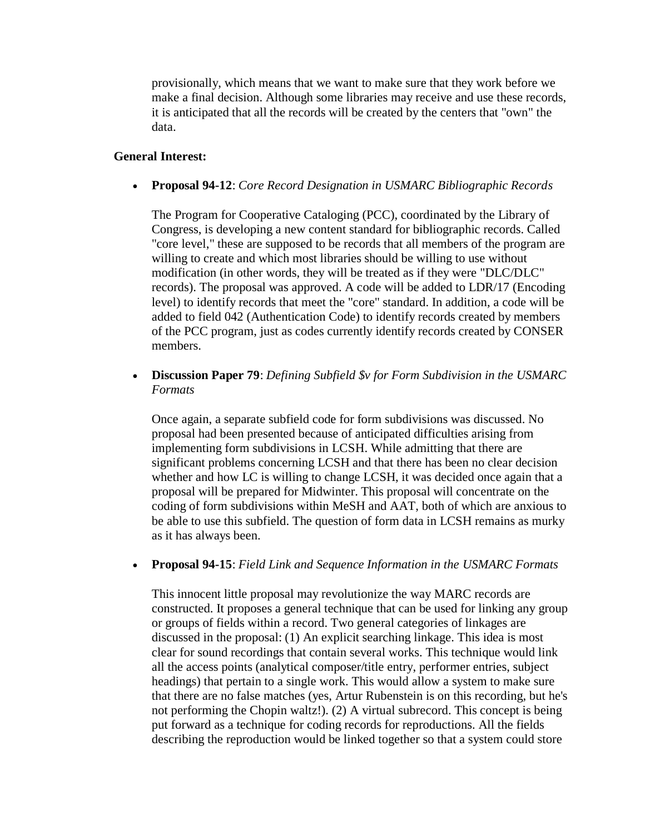provisionally, which means that we want to make sure that they work before we make a final decision. Although some libraries may receive and use these records, it is anticipated that all the records will be created by the centers that "own" the data.

# **General Interest:**

**Proposal 94-12**: *Core Record Designation in USMARC Bibliographic Records* 

The Program for Cooperative Cataloging (PCC), coordinated by the Library of Congress, is developing a new content standard for bibliographic records. Called "core level," these are supposed to be records that all members of the program are willing to create and which most libraries should be willing to use without modification (in other words, they will be treated as if they were "DLC/DLC" records). The proposal was approved. A code will be added to LDR/17 (Encoding level) to identify records that meet the "core" standard. In addition, a code will be added to field 042 (Authentication Code) to identify records created by members of the PCC program, just as codes currently identify records created by CONSER members.

 **Discussion Paper 79**: *Defining Subfield \$v for Form Subdivision in the USMARC Formats* 

Once again, a separate subfield code for form subdivisions was discussed. No proposal had been presented because of anticipated difficulties arising from implementing form subdivisions in LCSH. While admitting that there are significant problems concerning LCSH and that there has been no clear decision whether and how LC is willing to change LCSH, it was decided once again that a proposal will be prepared for Midwinter. This proposal will concentrate on the coding of form subdivisions within MeSH and AAT, both of which are anxious to be able to use this subfield. The question of form data in LCSH remains as murky as it has always been.

**Proposal 94-15**: *Field Link and Sequence Information in the USMARC Formats* 

This innocent little proposal may revolutionize the way MARC records are constructed. It proposes a general technique that can be used for linking any group or groups of fields within a record. Two general categories of linkages are discussed in the proposal: (1) An explicit searching linkage. This idea is most clear for sound recordings that contain several works. This technique would link all the access points (analytical composer/title entry, performer entries, subject headings) that pertain to a single work. This would allow a system to make sure that there are no false matches (yes, Artur Rubenstein is on this recording, but he's not performing the Chopin waltz!). (2) A virtual subrecord. This concept is being put forward as a technique for coding records for reproductions. All the fields describing the reproduction would be linked together so that a system could store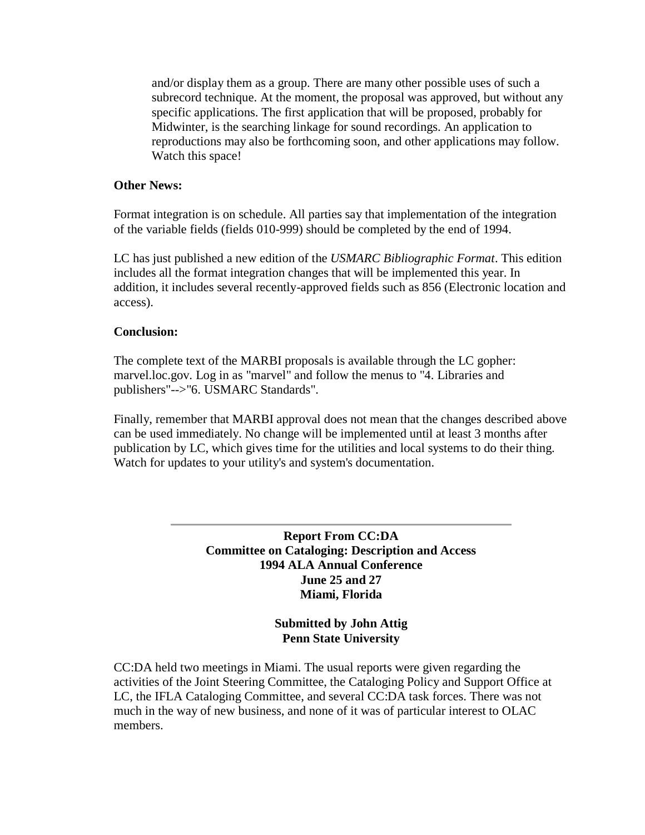and/or display them as a group. There are many other possible uses of such a subrecord technique. At the moment, the proposal was approved, but without any specific applications. The first application that will be proposed, probably for Midwinter, is the searching linkage for sound recordings. An application to reproductions may also be forthcoming soon, and other applications may follow. Watch this space!

### **Other News:**

Format integration is on schedule. All parties say that implementation of the integration of the variable fields (fields 010-999) should be completed by the end of 1994.

LC has just published a new edition of the *USMARC Bibliographic Format*. This edition includes all the format integration changes that will be implemented this year. In addition, it includes several recently-approved fields such as 856 (Electronic location and access).

#### **Conclusion:**

The complete text of the MARBI proposals is available through the LC gopher: marvel.loc.gov. Log in as "marvel" and follow the menus to "4. Libraries and publishers"-->"6. USMARC Standards".

Finally, remember that MARBI approval does not mean that the changes described above can be used immediately. No change will be implemented until at least 3 months after publication by LC, which gives time for the utilities and local systems to do their thing. Watch for updates to your utility's and system's documentation.

> **Report From CC:DA Committee on Cataloging: Description and Access 1994 ALA Annual Conference June 25 and 27 Miami, Florida**

> > **Submitted by John Attig Penn State University**

CC:DA held two meetings in Miami. The usual reports were given regarding the activities of the Joint Steering Committee, the Cataloging Policy and Support Office at LC, the IFLA Cataloging Committee, and several CC:DA task forces. There was not much in the way of new business, and none of it was of particular interest to OLAC members.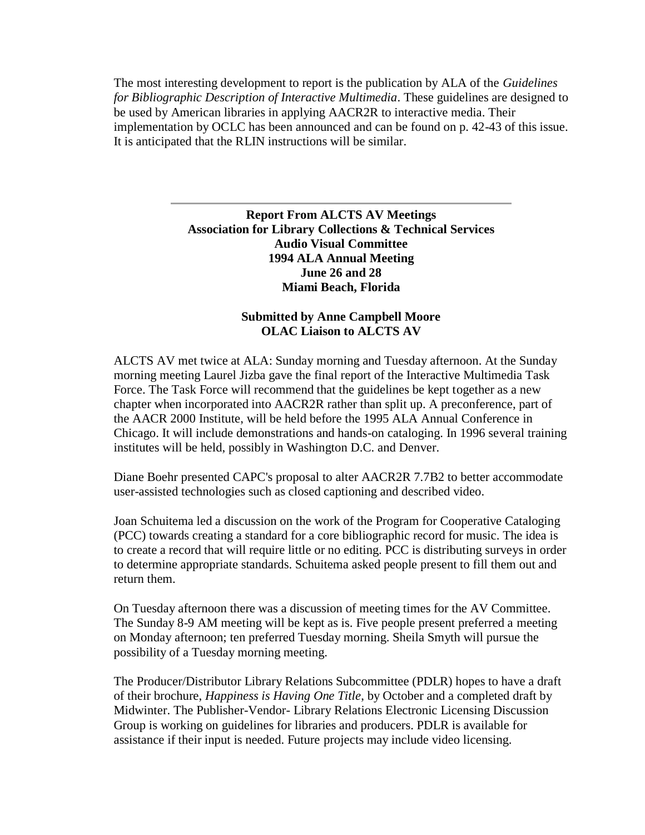The most interesting development to report is the publication by ALA of the *Guidelines for Bibliographic Description of Interactive Multimedia*. These guidelines are designed to be used by American libraries in applying AACR2R to interactive media. Their implementation by OCLC has been announced and can be found on p. 42-43 of this issue. It is anticipated that the RLIN instructions will be similar.

# **Report From ALCTS AV Meetings Association for Library Collections & Technical Services Audio Visual Committee 1994 ALA Annual Meeting June 26 and 28 Miami Beach, Florida**

# **Submitted by Anne Campbell Moore OLAC Liaison to ALCTS AV**

ALCTS AV met twice at ALA: Sunday morning and Tuesday afternoon. At the Sunday morning meeting Laurel Jizba gave the final report of the Interactive Multimedia Task Force. The Task Force will recommend that the guidelines be kept together as a new chapter when incorporated into AACR2R rather than split up. A preconference, part of the AACR 2000 Institute, will be held before the 1995 ALA Annual Conference in Chicago. It will include demonstrations and hands-on cataloging. In 1996 several training institutes will be held, possibly in Washington D.C. and Denver.

Diane Boehr presented CAPC's proposal to alter AACR2R 7.7B2 to better accommodate user-assisted technologies such as closed captioning and described video.

Joan Schuitema led a discussion on the work of the Program for Cooperative Cataloging (PCC) towards creating a standard for a core bibliographic record for music. The idea is to create a record that will require little or no editing. PCC is distributing surveys in order to determine appropriate standards. Schuitema asked people present to fill them out and return them.

On Tuesday afternoon there was a discussion of meeting times for the AV Committee. The Sunday 8-9 AM meeting will be kept as is. Five people present preferred a meeting on Monday afternoon; ten preferred Tuesday morning. Sheila Smyth will pursue the possibility of a Tuesday morning meeting.

The Producer/Distributor Library Relations Subcommittee (PDLR) hopes to have a draft of their brochure, *Happiness is Having One Title*, by October and a completed draft by Midwinter. The Publisher-Vendor- Library Relations Electronic Licensing Discussion Group is working on guidelines for libraries and producers. PDLR is available for assistance if their input is needed. Future projects may include video licensing.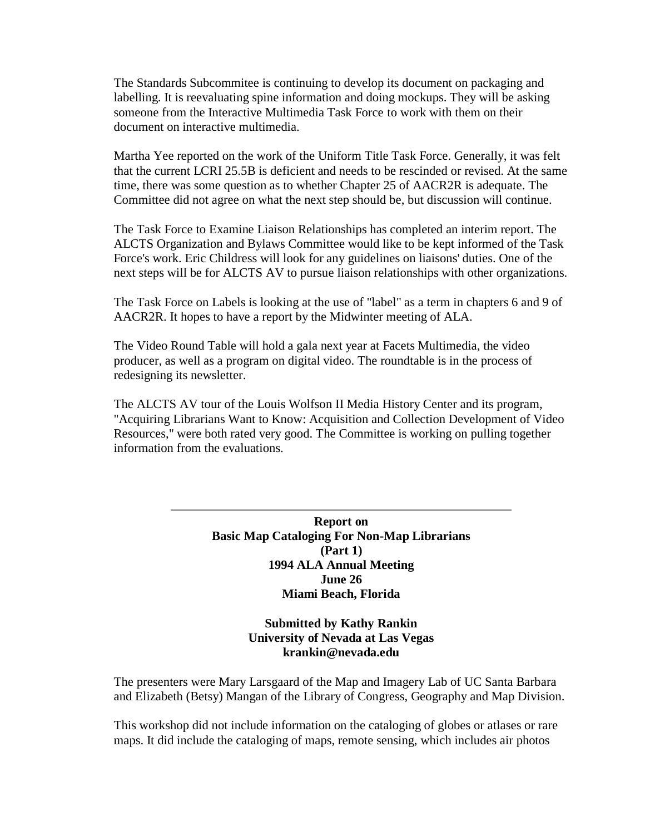The Standards Subcommitee is continuing to develop its document on packaging and labelling. It is reevaluating spine information and doing mockups. They will be asking someone from the Interactive Multimedia Task Force to work with them on their document on interactive multimedia.

Martha Yee reported on the work of the Uniform Title Task Force. Generally, it was felt that the current LCRI 25.5B is deficient and needs to be rescinded or revised. At the same time, there was some question as to whether Chapter 25 of AACR2R is adequate. The Committee did not agree on what the next step should be, but discussion will continue.

The Task Force to Examine Liaison Relationships has completed an interim report. The ALCTS Organization and Bylaws Committee would like to be kept informed of the Task Force's work. Eric Childress will look for any guidelines on liaisons' duties. One of the next steps will be for ALCTS AV to pursue liaison relationships with other organizations.

The Task Force on Labels is looking at the use of "label" as a term in chapters 6 and 9 of AACR2R. It hopes to have a report by the Midwinter meeting of ALA.

The Video Round Table will hold a gala next year at Facets Multimedia, the video producer, as well as a program on digital video. The roundtable is in the process of redesigning its newsletter.

The ALCTS AV tour of the Louis Wolfson II Media History Center and its program, "Acquiring Librarians Want to Know: Acquisition and Collection Development of Video Resources," were both rated very good. The Committee is working on pulling together information from the evaluations.

> **Report on Basic Map Cataloging For Non-Map Librarians (Part 1) 1994 ALA Annual Meeting June 26 Miami Beach, Florida**

> > **Submitted by Kathy Rankin University of Nevada at Las Vegas [krankin@nevada.edu](mailto:krankin@nevada.edu)**

The presenters were Mary Larsgaard of the Map and Imagery Lab of UC Santa Barbara and Elizabeth (Betsy) Mangan of the Library of Congress, Geography and Map Division.

This workshop did not include information on the cataloging of globes or atlases or rare maps. It did include the cataloging of maps, remote sensing, which includes air photos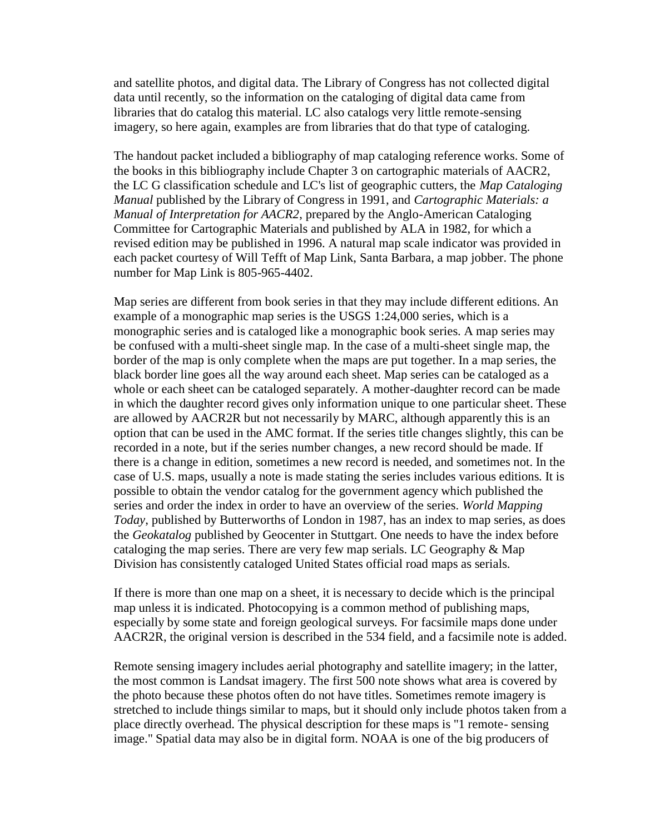and satellite photos, and digital data. The Library of Congress has not collected digital data until recently, so the information on the cataloging of digital data came from libraries that do catalog this material. LC also catalogs very little remote-sensing imagery, so here again, examples are from libraries that do that type of cataloging.

The handout packet included a bibliography of map cataloging reference works. Some of the books in this bibliography include Chapter 3 on cartographic materials of AACR2, the LC G classification schedule and LC's list of geographic cutters, the *Map Cataloging Manual* published by the Library of Congress in 1991, and *Cartographic Materials: a Manual of Interpretation for AACR2*, prepared by the Anglo-American Cataloging Committee for Cartographic Materials and published by ALA in 1982, for which a revised edition may be published in 1996. A natural map scale indicator was provided in each packet courtesy of Will Tefft of Map Link, Santa Barbara, a map jobber. The phone number for Map Link is 805-965-4402.

Map series are different from book series in that they may include different editions. An example of a monographic map series is the USGS 1:24,000 series, which is a monographic series and is cataloged like a monographic book series. A map series may be confused with a multi-sheet single map. In the case of a multi-sheet single map, the border of the map is only complete when the maps are put together. In a map series, the black border line goes all the way around each sheet. Map series can be cataloged as a whole or each sheet can be cataloged separately. A mother-daughter record can be made in which the daughter record gives only information unique to one particular sheet. These are allowed by AACR2R but not necessarily by MARC, although apparently this is an option that can be used in the AMC format. If the series title changes slightly, this can be recorded in a note, but if the series number changes, a new record should be made. If there is a change in edition, sometimes a new record is needed, and sometimes not. In the case of U.S. maps, usually a note is made stating the series includes various editions. It is possible to obtain the vendor catalog for the government agency which published the series and order the index in order to have an overview of the series. *World Mapping Today*, published by Butterworths of London in 1987, has an index to map series, as does the *Geokatalog* published by Geocenter in Stuttgart. One needs to have the index before cataloging the map series. There are very few map serials. LC Geography & Map Division has consistently cataloged United States official road maps as serials.

If there is more than one map on a sheet, it is necessary to decide which is the principal map unless it is indicated. Photocopying is a common method of publishing maps, especially by some state and foreign geological surveys. For facsimile maps done under AACR2R, the original version is described in the 534 field, and a facsimile note is added.

Remote sensing imagery includes aerial photography and satellite imagery; in the latter, the most common is Landsat imagery. The first 500 note shows what area is covered by the photo because these photos often do not have titles. Sometimes remote imagery is stretched to include things similar to maps, but it should only include photos taken from a place directly overhead. The physical description for these maps is "1 remote- sensing image." Spatial data may also be in digital form. NOAA is one of the big producers of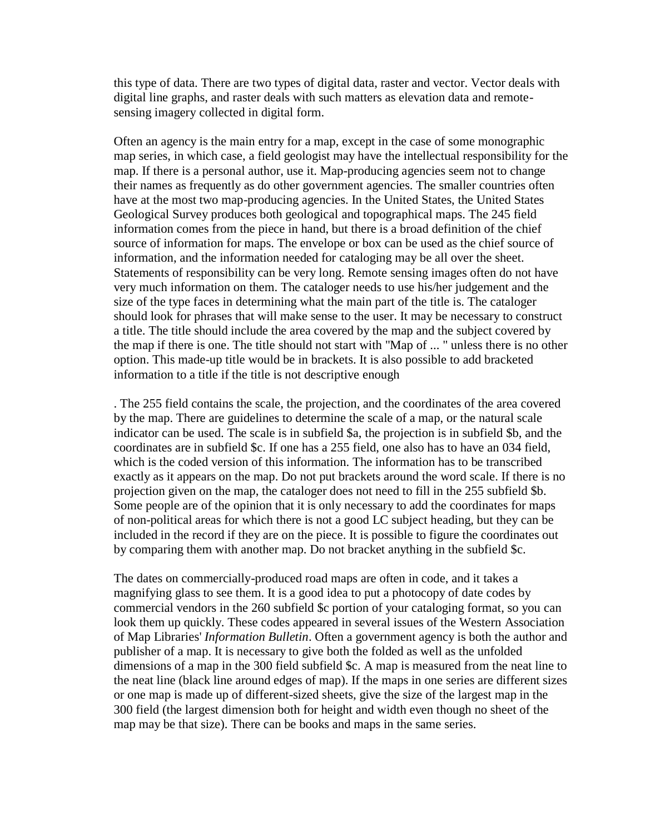this type of data. There are two types of digital data, raster and vector. Vector deals with digital line graphs, and raster deals with such matters as elevation data and remotesensing imagery collected in digital form.

Often an agency is the main entry for a map, except in the case of some monographic map series, in which case, a field geologist may have the intellectual responsibility for the map. If there is a personal author, use it. Map-producing agencies seem not to change their names as frequently as do other government agencies. The smaller countries often have at the most two map-producing agencies. In the United States, the United States Geological Survey produces both geological and topographical maps. The 245 field information comes from the piece in hand, but there is a broad definition of the chief source of information for maps. The envelope or box can be used as the chief source of information, and the information needed for cataloging may be all over the sheet. Statements of responsibility can be very long. Remote sensing images often do not have very much information on them. The cataloger needs to use his/her judgement and the size of the type faces in determining what the main part of the title is. The cataloger should look for phrases that will make sense to the user. It may be necessary to construct a title. The title should include the area covered by the map and the subject covered by the map if there is one. The title should not start with "Map of ... " unless there is no other option. This made-up title would be in brackets. It is also possible to add bracketed information to a title if the title is not descriptive enough

. The 255 field contains the scale, the projection, and the coordinates of the area covered by the map. There are guidelines to determine the scale of a map, or the natural scale indicator can be used. The scale is in subfield \$a, the projection is in subfield \$b, and the coordinates are in subfield \$c. If one has a 255 field, one also has to have an 034 field, which is the coded version of this information. The information has to be transcribed exactly as it appears on the map. Do not put brackets around the word scale. If there is no projection given on the map, the cataloger does not need to fill in the 255 subfield \$b. Some people are of the opinion that it is only necessary to add the coordinates for maps of non-political areas for which there is not a good LC subject heading, but they can be included in the record if they are on the piece. It is possible to figure the coordinates out by comparing them with another map. Do not bracket anything in the subfield \$c.

The dates on commercially-produced road maps are often in code, and it takes a magnifying glass to see them. It is a good idea to put a photocopy of date codes by commercial vendors in the 260 subfield \$c portion of your cataloging format, so you can look them up quickly. These codes appeared in several issues of the Western Association of Map Libraries' *Information Bulletin*. Often a government agency is both the author and publisher of a map. It is necessary to give both the folded as well as the unfolded dimensions of a map in the 300 field subfield \$c. A map is measured from the neat line to the neat line (black line around edges of map). If the maps in one series are different sizes or one map is made up of different-sized sheets, give the size of the largest map in the 300 field (the largest dimension both for height and width even though no sheet of the map may be that size). There can be books and maps in the same series.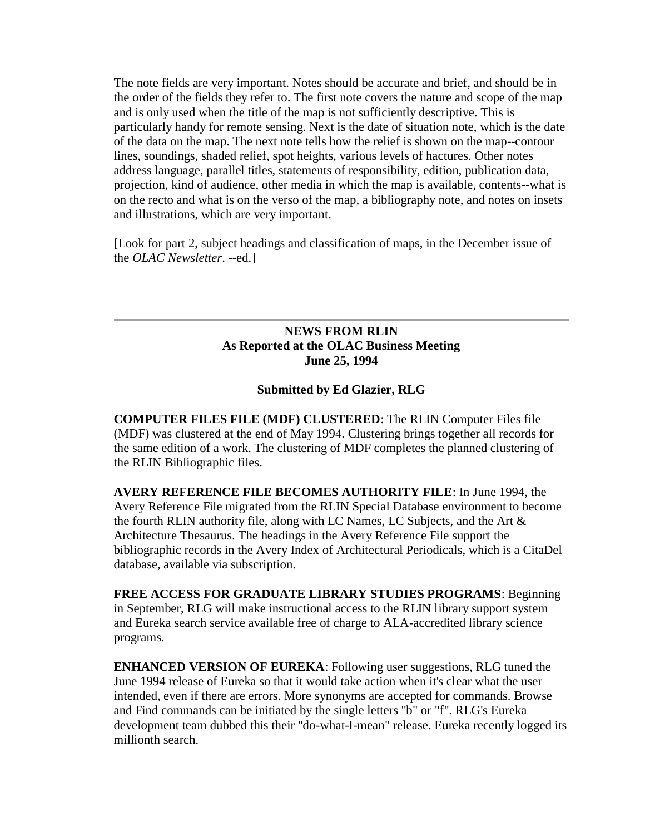The note fields are very important. Notes should be accurate and brief, and should be in the order of the fields they refer to. The first note covers the nature and scope of the map and is only used when the title of the map is not sufficiently descriptive. This is particularly handy for remote sensing. Next is the date of situation note, which is the date of the data on the map. The next note tells how the relief is shown on the map--contour lines, soundings, shaded relief, spot heights, various levels of hactures. Other notes address language, parallel titles, statements of responsibility, edition, publication data, projection, kind of audience, other media in which the map is available, contents--what is on the recto and what is on the verso of the map, a bibliography note, and notes on insets and illustrations, which are very important.

[Look for [part 2,](http://ublib.buffalo.edu/libraries/units/cts/olac/newsletters/dec94.html#basicmap) subject headings and classification of maps, in the December issue of the *OLAC Newsletter*. --ed.]

# **NEWS FROM RLIN As Reported at the OLAC Business Meeting June 25, 1994**

### **Submitted by Ed Glazier, RLG**

**COMPUTER FILES FILE (MDF) CLUSTERED**: The RLIN Computer Files file (MDF) was clustered at the end of May 1994. Clustering brings together all records for the same edition of a work. The clustering of MDF completes the planned clustering of the RLIN Bibliographic files.

**AVERY REFERENCE FILE BECOMES AUTHORITY FILE**: In June 1994, the Avery Reference File migrated from the RLIN Special Database environment to become the fourth RLIN authority file, along with LC Names, LC Subjects, and the Art  $\&$ Architecture Thesaurus. The headings in the Avery Reference File support the bibliographic records in the Avery Index of Architectural Periodicals, which is a CitaDel database, available via subscription.

**FREE ACCESS FOR GRADUATE LIBRARY STUDIES PROGRAMS**: Beginning in September, RLG will make instructional access to the RLIN library support system and Eureka search service available free of charge to ALA-accredited library science programs.

**ENHANCED VERSION OF EUREKA**: Following user suggestions, RLG tuned the June 1994 release of Eureka so that it would take action when it's clear what the user intended, even if there are errors. More synonyms are accepted for commands. Browse and Find commands can be initiated by the single letters "b" or "f". RLG's Eureka development team dubbed this their "do-what-I-mean" release. Eureka recently logged its millionth search.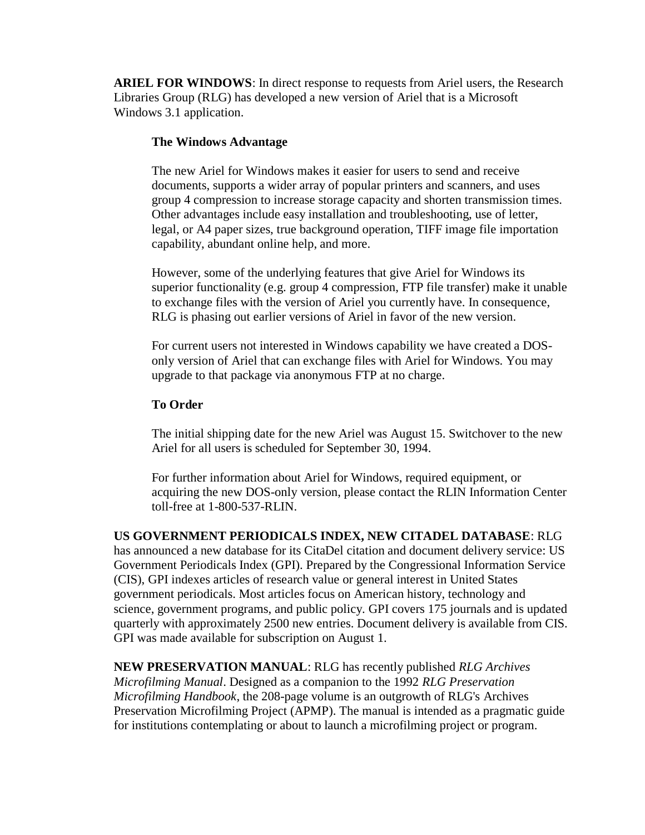**ARIEL FOR WINDOWS**: In direct response to requests from Ariel users, the Research Libraries Group (RLG) has developed a new version of Ariel that is a Microsoft Windows 3.1 application.

# **The Windows Advantage**

The new Ariel for Windows makes it easier for users to send and receive documents, supports a wider array of popular printers and scanners, and uses group 4 compression to increase storage capacity and shorten transmission times. Other advantages include easy installation and troubleshooting, use of letter, legal, or A4 paper sizes, true background operation, TIFF image file importation capability, abundant online help, and more.

However, some of the underlying features that give Ariel for Windows its superior functionality (e.g. group 4 compression, FTP file transfer) make it unable to exchange files with the version of Ariel you currently have. In consequence, RLG is phasing out earlier versions of Ariel in favor of the new version.

For current users not interested in Windows capability we have created a DOSonly version of Ariel that can exchange files with Ariel for Windows. You may upgrade to that package via anonymous FTP at no charge.

# **To Order**

The initial shipping date for the new Ariel was August 15. Switchover to the new Ariel for all users is scheduled for September 30, 1994.

For further information about Ariel for Windows, required equipment, or acquiring the new DOS-only version, please contact the RLIN Information Center toll-free at 1-800-537-RLIN.

**US GOVERNMENT PERIODICALS INDEX, NEW CITADEL DATABASE**: RLG has announced a new database for its CitaDel citation and document delivery service: US Government Periodicals Index (GPI). Prepared by the Congressional Information Service (CIS), GPI indexes articles of research value or general interest in United States government periodicals. Most articles focus on American history, technology and science, government programs, and public policy. GPI covers 175 journals and is updated quarterly with approximately 2500 new entries. Document delivery is available from CIS. GPI was made available for subscription on August 1.

**NEW PRESERVATION MANUAL**: RLG has recently published *RLG Archives Microfilming Manual*. Designed as a companion to the 1992 *RLG Preservation Microfilming Handbook*, the 208-page volume is an outgrowth of RLG's Archives Preservation Microfilming Project (APMP). The manual is intended as a pragmatic guide for institutions contemplating or about to launch a microfilming project or program.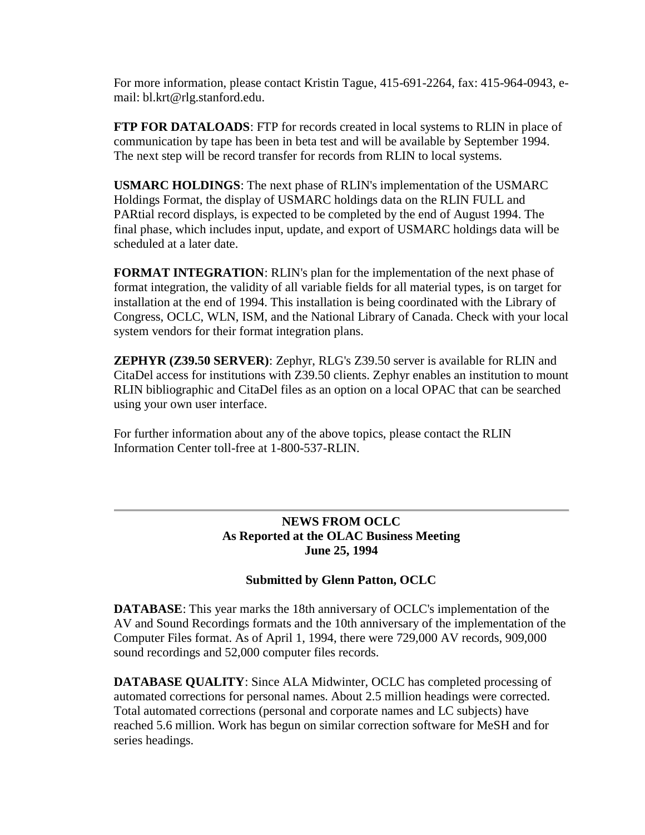For more information, please contact Kristin Tague, 415-691-2264, fax: 415-964-0943, email: [bl.krt@rlg.stanford.edu.](mailto:bl.krt@rlg.stanford.edu)

**FTP FOR DATALOADS**: FTP for records created in local systems to RLIN in place of communication by tape has been in beta test and will be available by September 1994. The next step will be record transfer for records from RLIN to local systems.

**USMARC HOLDINGS**: The next phase of RLIN's implementation of the USMARC Holdings Format, the display of USMARC holdings data on the RLIN FULL and PARtial record displays, is expected to be completed by the end of August 1994. The final phase, which includes input, update, and export of USMARC holdings data will be scheduled at a later date.

**FORMAT INTEGRATION**: RLIN's plan for the implementation of the next phase of format integration, the validity of all variable fields for all material types, is on target for installation at the end of 1994. This installation is being coordinated with the Library of Congress, OCLC, WLN, ISM, and the National Library of Canada. Check with your local system vendors for their format integration plans.

**ZEPHYR (Z39.50 SERVER)**: Zephyr, RLG's Z39.50 server is available for RLIN and CitaDel access for institutions with Z39.50 clients. Zephyr enables an institution to mount RLIN bibliographic and CitaDel files as an option on a local OPAC that can be searched using your own user interface.

For further information about any of the above topics, please contact the RLIN Information Center toll-free at 1-800-537-RLIN.

# **NEWS FROM OCLC As Reported at the OLAC Business Meeting June 25, 1994**

# **Submitted by Glenn Patton, OCLC**

**DATABASE**: This year marks the 18th anniversary of OCLC's implementation of the AV and Sound Recordings formats and the 10th anniversary of the implementation of the Computer Files format. As of April 1, 1994, there were 729,000 AV records, 909,000 sound recordings and 52,000 computer files records.

**DATABASE QUALITY**: Since ALA Midwinter, OCLC has completed processing of automated corrections for personal names. About 2.5 million headings were corrected. Total automated corrections (personal and corporate names and LC subjects) have reached 5.6 million. Work has begun on similar correction software for MeSH and for series headings.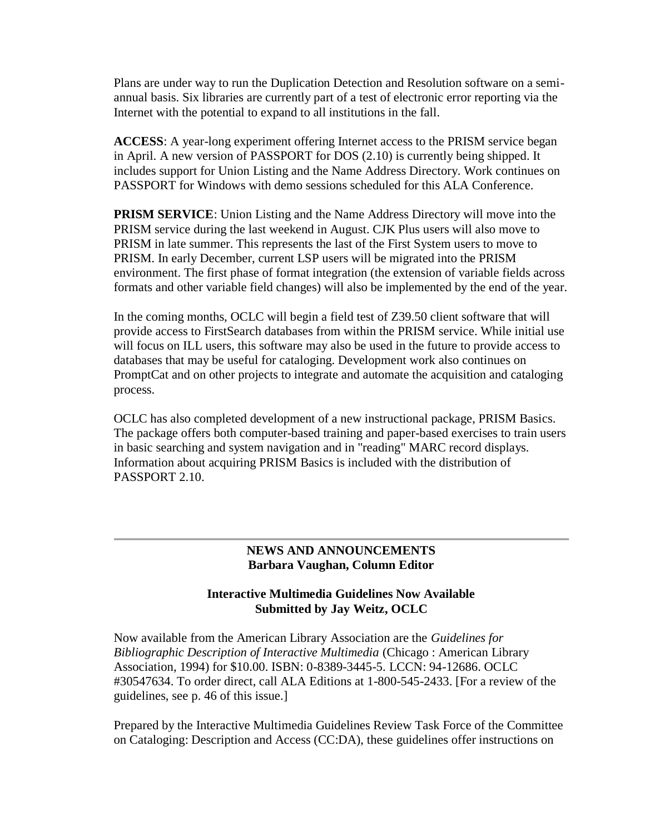Plans are under way to run the Duplication Detection and Resolution software on a semiannual basis. Six libraries are currently part of a test of electronic error reporting via the Internet with the potential to expand to all institutions in the fall.

**ACCESS**: A year-long experiment offering Internet access to the PRISM service began in April. A new version of PASSPORT for DOS (2.10) is currently being shipped. It includes support for Union Listing and the Name Address Directory. Work continues on PASSPORT for Windows with demo sessions scheduled for this ALA Conference.

**PRISM SERVICE:** Union Listing and the Name Address Directory will move into the PRISM service during the last weekend in August. CJK Plus users will also move to PRISM in late summer. This represents the last of the First System users to move to PRISM. In early December, current LSP users will be migrated into the PRISM environment. The first phase of format integration (the extension of variable fields across formats and other variable field changes) will also be implemented by the end of the year.

In the coming months, OCLC will begin a field test of Z39.50 client software that will provide access to FirstSearch databases from within the PRISM service. While initial use will focus on ILL users, this software may also be used in the future to provide access to databases that may be useful for cataloging. Development work also continues on PromptCat and on other projects to integrate and automate the acquisition and cataloging process.

OCLC has also completed development of a new instructional package, PRISM Basics. The package offers both computer-based training and paper-based exercises to train users in basic searching and system navigation and in "reading" MARC record displays. Information about acquiring PRISM Basics is included with the distribution of PASSPORT 2.10.

# **NEWS AND ANNOUNCEMENTS Barbara Vaughan, Column Editor**

# **Interactive Multimedia Guidelines Now Available Submitted by Jay Weitz, OCLC**

Now available from the American Library Association are the *Guidelines for Bibliographic Description of Interactive Multimedia* (Chicago : American Library Association, 1994) for \$10.00. ISBN: 0-8389-3445-5. LCCN: 94-12686. OCLC #30547634. To order direct, call ALA Editions at 1-800-545-2433. [For a review of the guidelines, see [p. 46](http://ublib.buffalo.edu/libraries/units/cts/olac/newsletters/sept94.html#gbdim) of this issue.]

Prepared by the Interactive Multimedia Guidelines Review Task Force of the Committee on Cataloging: Description and Access (CC:DA), these guidelines offer instructions on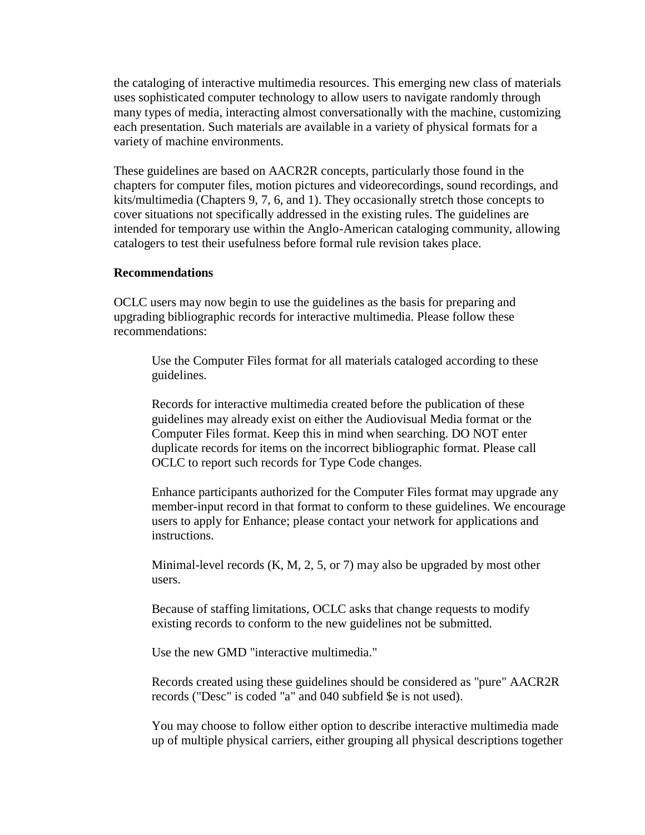the cataloging of interactive multimedia resources. This emerging new class of materials uses sophisticated computer technology to allow users to navigate randomly through many types of media, interacting almost conversationally with the machine, customizing each presentation. Such materials are available in a variety of physical formats for a variety of machine environments.

These guidelines are based on AACR2R concepts, particularly those found in the chapters for computer files, motion pictures and videorecordings, sound recordings, and kits/multimedia (Chapters 9, 7, 6, and 1). They occasionally stretch those concepts to cover situations not specifically addressed in the existing rules. The guidelines are intended for temporary use within the Anglo-American cataloging community, allowing catalogers to test their usefulness before formal rule revision takes place.

#### **Recommendations**

OCLC users may now begin to use the guidelines as the basis for preparing and upgrading bibliographic records for interactive multimedia. Please follow these recommendations:

Use the Computer Files format for all materials cataloged according to these guidelines.

Records for interactive multimedia created before the publication of these guidelines may already exist on either the Audiovisual Media format or the Computer Files format. Keep this in mind when searching. DO NOT enter duplicate records for items on the incorrect bibliographic format. Please call OCLC to report such records for Type Code changes.

Enhance participants authorized for the Computer Files format may upgrade any member-input record in that format to conform to these guidelines. We encourage users to apply for Enhance; please contact your network for applications and instructions.

Minimal-level records (K, M, 2, 5, or 7) may also be upgraded by most other users.

Because of staffing limitations, OCLC asks that change requests to modify existing records to conform to the new guidelines not be submitted.

Use the new GMD "interactive multimedia."

Records created using these guidelines should be considered as "pure" AACR2R records ("Desc" is coded "a" and 040 subfield \$e is not used).

You may choose to follow either option to describe interactive multimedia made up of multiple physical carriers, either grouping all physical descriptions together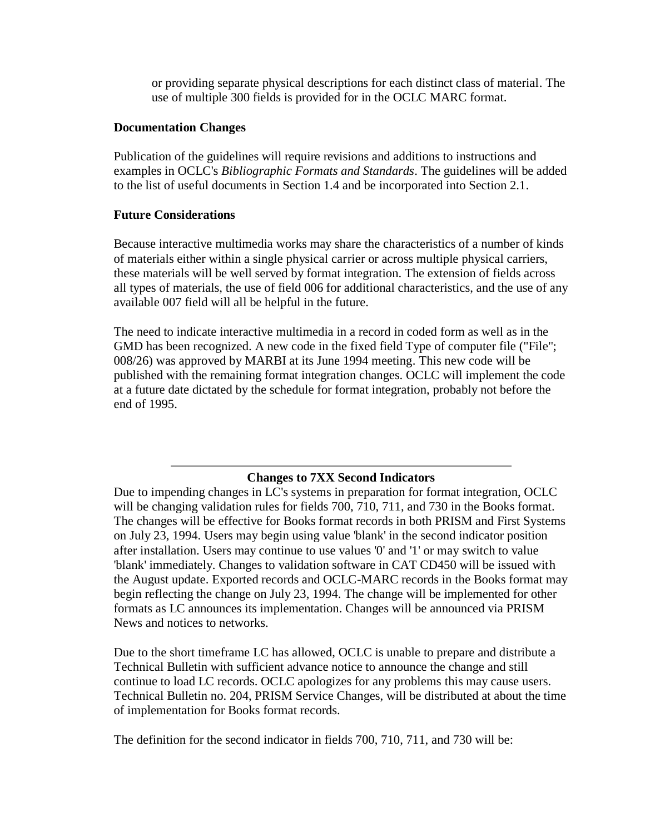or providing separate physical descriptions for each distinct class of material. The use of multiple 300 fields is provided for in the OCLC MARC format.

### **Documentation Changes**

Publication of the guidelines will require revisions and additions to instructions and examples in OCLC's *Bibliographic Formats and Standards*. The guidelines will be added to the list of useful documents in Section 1.4 and be incorporated into Section 2.1.

### **Future Considerations**

Because interactive multimedia works may share the characteristics of a number of kinds of materials either within a single physical carrier or across multiple physical carriers, these materials will be well served by format integration. The extension of fields across all types of materials, the use of field 006 for additional characteristics, and the use of any available 007 field will all be helpful in the future.

The need to indicate interactive multimedia in a record in coded form as well as in the GMD has been recognized. A new code in the fixed field Type of computer file ("File"; 008/26) was approved by MARBI at its June 1994 meeting. This new code will be published with the remaining format integration changes. OCLC will implement the code at a future date dictated by the schedule for format integration, probably not before the end of 1995.

### **Changes to 7XX Second Indicators**

Due to impending changes in LC's systems in preparation for format integration, OCLC will be changing validation rules for fields 700, 710, 711, and 730 in the Books format. The changes will be effective for Books format records in both PRISM and First Systems on July 23, 1994. Users may begin using value 'blank' in the second indicator position after installation. Users may continue to use values '0' and '1' or may switch to value 'blank' immediately. Changes to validation software in CAT CD450 will be issued with the August update. Exported records and OCLC-MARC records in the Books format may begin reflecting the change on July 23, 1994. The change will be implemented for other formats as LC announces its implementation. Changes will be announced via PRISM News and notices to networks.

Due to the short timeframe LC has allowed, OCLC is unable to prepare and distribute a Technical Bulletin with sufficient advance notice to announce the change and still continue to load LC records. OCLC apologizes for any problems this may cause users. Technical Bulletin no. 204, PRISM Service Changes, will be distributed at about the time of implementation for Books format records.

The definition for the second indicator in fields 700, 710, 711, and 730 will be: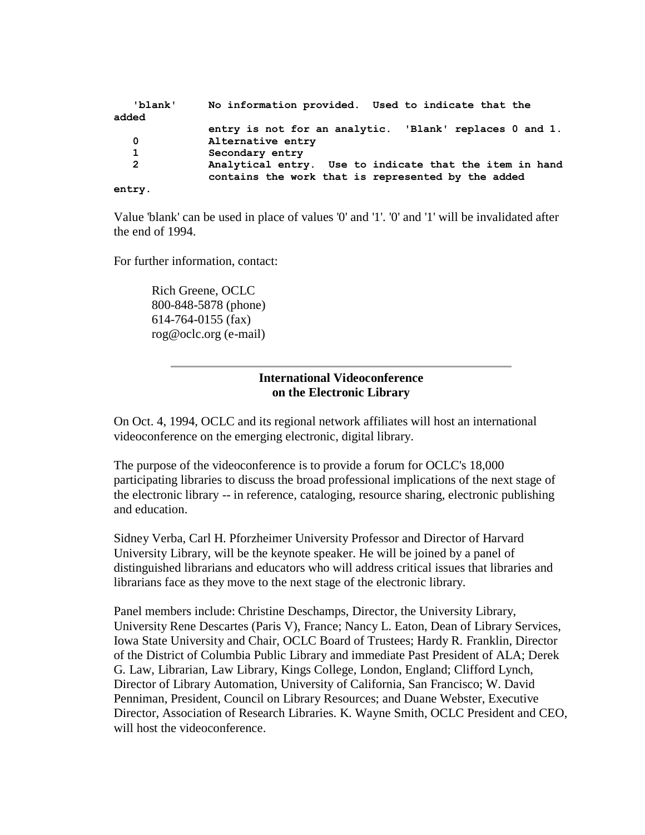| 'blank'      | No information provided. Used to indicate that the                                                            |
|--------------|---------------------------------------------------------------------------------------------------------------|
| added        |                                                                                                               |
|              | entry is not for an analytic. 'Blank' replaces 0 and 1.                                                       |
| 0            | Alternative entry                                                                                             |
| 1            | Secondary entry                                                                                               |
| $\mathbf{2}$ | Analytical entry. Use to indicate that the item in hand<br>contains the work that is represented by the added |
| entry.       |                                                                                                               |

Value 'blank' can be used in place of values '0' and '1'. '0' and '1' will be invalidated after the end of 1994.

For further information, contact:

Rich Greene, OCLC 800-848-5878 (phone) 614-764-0155 (fax) [rog@oclc.org \(e-mail\)](mailto:rog@oclc.org)

#### **International Videoconference on the Electronic Library**

On Oct. 4, 1994, OCLC and its regional network affiliates will host an international videoconference on the emerging electronic, digital library.

The purpose of the videoconference is to provide a forum for OCLC's 18,000 participating libraries to discuss the broad professional implications of the next stage of the electronic library -- in reference, cataloging, resource sharing, electronic publishing and education.

Sidney Verba, Carl H. Pforzheimer University Professor and Director of Harvard University Library, will be the keynote speaker. He will be joined by a panel of distinguished librarians and educators who will address critical issues that libraries and librarians face as they move to the next stage of the electronic library.

Panel members include: Christine Deschamps, Director, the University Library, University Rene Descartes (Paris V), France; Nancy L. Eaton, Dean of Library Services, Iowa State University and Chair, OCLC Board of Trustees; Hardy R. Franklin, Director of the District of Columbia Public Library and immediate Past President of ALA; Derek G. Law, Librarian, Law Library, Kings College, London, England; Clifford Lynch, Director of Library Automation, University of California, San Francisco; W. David Penniman, President, Council on Library Resources; and Duane Webster, Executive Director, Association of Research Libraries. K. Wayne Smith, OCLC President and CEO, will host the videoconference.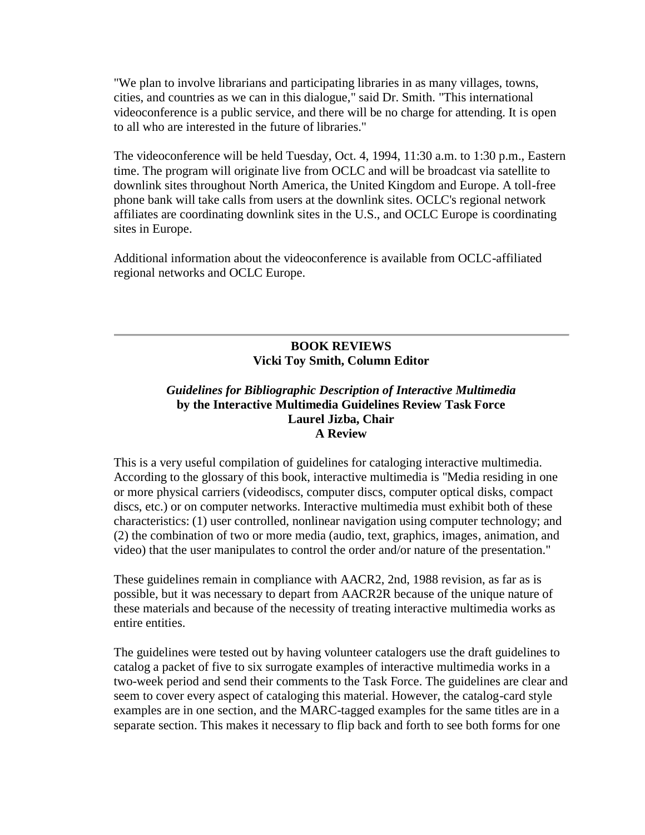"We plan to involve librarians and participating libraries in as many villages, towns, cities, and countries as we can in this dialogue," said Dr. Smith. "This international videoconference is a public service, and there will be no charge for attending. It is open to all who are interested in the future of libraries."

The videoconference will be held Tuesday, Oct. 4, 1994, 11:30 a.m. to 1:30 p.m., Eastern time. The program will originate live from OCLC and will be broadcast via satellite to downlink sites throughout North America, the United Kingdom and Europe. A toll-free phone bank will take calls from users at the downlink sites. OCLC's regional network affiliates are coordinating downlink sites in the U.S., and OCLC Europe is coordinating sites in Europe.

Additional information about the videoconference is available from OCLC-affiliated regional networks and OCLC Europe.

# **BOOK REVIEWS Vicki Toy Smith, Column Editor**

### *Guidelines for Bibliographic Description of Interactive Multimedia* **by the Interactive Multimedia Guidelines Review Task Force Laurel Jizba, Chair A Review**

This is a very useful compilation of guidelines for cataloging interactive multimedia. According to the glossary of this book, interactive multimedia is "Media residing in one or more physical carriers (videodiscs, computer discs, computer optical disks, compact discs, etc.) or on computer networks. Interactive multimedia must exhibit both of these characteristics: (1) user controlled, nonlinear navigation using computer technology; and (2) the combination of two or more media (audio, text, graphics, images, animation, and video) that the user manipulates to control the order and/or nature of the presentation."

These guidelines remain in compliance with AACR2, 2nd, 1988 revision, as far as is possible, but it was necessary to depart from AACR2R because of the unique nature of these materials and because of the necessity of treating interactive multimedia works as entire entities.

The guidelines were tested out by having volunteer catalogers use the draft guidelines to catalog a packet of five to six surrogate examples of interactive multimedia works in a two-week period and send their comments to the Task Force. The guidelines are clear and seem to cover every aspect of cataloging this material. However, the catalog-card style examples are in one section, and the MARC-tagged examples for the same titles are in a separate section. This makes it necessary to flip back and forth to see both forms for one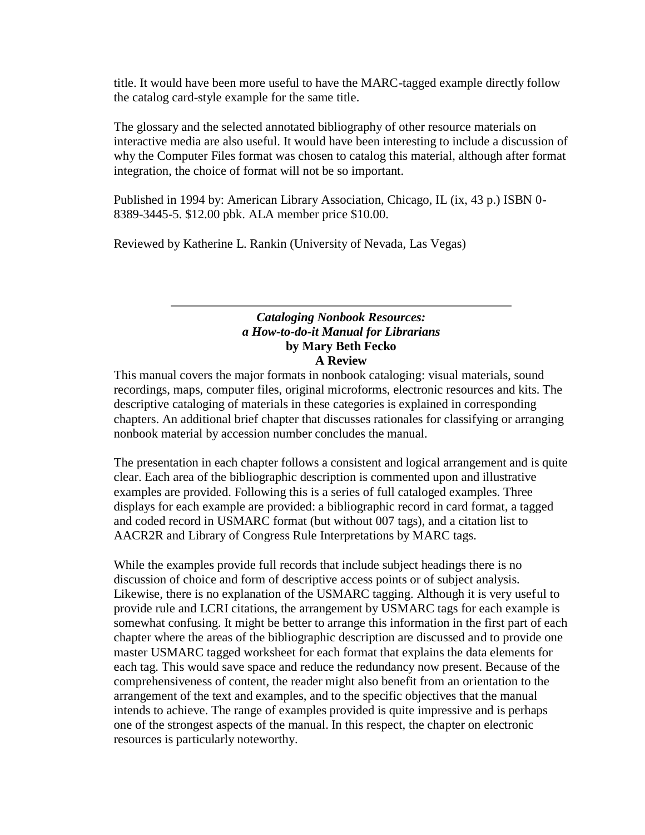title. It would have been more useful to have the MARC-tagged example directly follow the catalog card-style example for the same title.

The glossary and the selected annotated bibliography of other resource materials on interactive media are also useful. It would have been interesting to include a discussion of why the Computer Files format was chosen to catalog this material, although after format integration, the choice of format will not be so important.

Published in 1994 by: American Library Association, Chicago, IL (ix, 43 p.) ISBN 0- 8389-3445-5. \$12.00 pbk. ALA member price \$10.00.

Reviewed by Katherine L. Rankin (University of Nevada, Las Vegas)

### *Cataloging Nonbook Resources: a How-to-do-it Manual for Librarians* **by Mary Beth Fecko A Review**

This manual covers the major formats in nonbook cataloging: visual materials, sound recordings, maps, computer files, original microforms, electronic resources and kits. The descriptive cataloging of materials in these categories is explained in corresponding chapters. An additional brief chapter that discusses rationales for classifying or arranging nonbook material by accession number concludes the manual.

The presentation in each chapter follows a consistent and logical arrangement and is quite clear. Each area of the bibliographic description is commented upon and illustrative examples are provided. Following this is a series of full cataloged examples. Three displays for each example are provided: a bibliographic record in card format, a tagged and coded record in USMARC format (but without 007 tags), and a citation list to AACR2R and Library of Congress Rule Interpretations by MARC tags.

While the examples provide full records that include subject headings there is no discussion of choice and form of descriptive access points or of subject analysis. Likewise, there is no explanation of the USMARC tagging. Although it is very useful to provide rule and LCRI citations, the arrangement by USMARC tags for each example is somewhat confusing. It might be better to arrange this information in the first part of each chapter where the areas of the bibliographic description are discussed and to provide one master USMARC tagged worksheet for each format that explains the data elements for each tag. This would save space and reduce the redundancy now present. Because of the comprehensiveness of content, the reader might also benefit from an orientation to the arrangement of the text and examples, and to the specific objectives that the manual intends to achieve. The range of examples provided is quite impressive and is perhaps one of the strongest aspects of the manual. In this respect, the chapter on electronic resources is particularly noteworthy.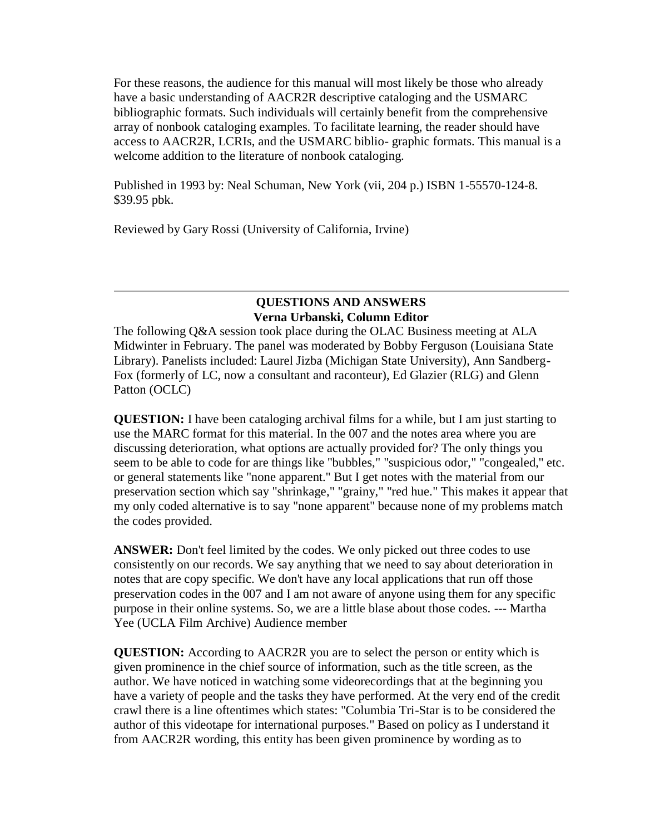For these reasons, the audience for this manual will most likely be those who already have a basic understanding of AACR2R descriptive cataloging and the USMARC bibliographic formats. Such individuals will certainly benefit from the comprehensive array of nonbook cataloging examples. To facilitate learning, the reader should have access to AACR2R, LCRIs, and the USMARC biblio- graphic formats. This manual is a welcome addition to the literature of nonbook cataloging.

Published in 1993 by: Neal Schuman, New York (vii, 204 p.) ISBN 1-55570-124-8. \$39.95 pbk.

Reviewed by Gary Rossi (University of California, Irvine)

# **QUESTIONS AND ANSWERS Verna Urbanski, Column Editor**

The following Q&A session took place during the OLAC Business meeting at ALA Midwinter in February. The panel was moderated by Bobby Ferguson (Louisiana State Library). Panelists included: Laurel Jizba (Michigan State University), Ann Sandberg-Fox (formerly of LC, now a consultant and raconteur), Ed Glazier (RLG) and Glenn Patton (OCLC)

**QUESTION:** I have been cataloging archival films for a while, but I am just starting to use the MARC format for this material. In the 007 and the notes area where you are discussing deterioration, what options are actually provided for? The only things you seem to be able to code for are things like "bubbles," "suspicious odor," "congealed," etc. or general statements like "none apparent." But I get notes with the material from our preservation section which say "shrinkage," "grainy," "red hue." This makes it appear that my only coded alternative is to say "none apparent" because none of my problems match the codes provided.

**ANSWER:** Don't feel limited by the codes. We only picked out three codes to use consistently on our records. We say anything that we need to say about deterioration in notes that are copy specific. We don't have any local applications that run off those preservation codes in the 007 and I am not aware of anyone using them for any specific purpose in their online systems. So, we are a little blase about those codes. --- Martha Yee (UCLA Film Archive) Audience member

**QUESTION:** According to AACR2R you are to select the person or entity which is given prominence in the chief source of information, such as the title screen, as the author. We have noticed in watching some videorecordings that at the beginning you have a variety of people and the tasks they have performed. At the very end of the credit crawl there is a line oftentimes which states: "Columbia Tri-Star is to be considered the author of this videotape for international purposes." Based on policy as I understand it from AACR2R wording, this entity has been given prominence by wording as to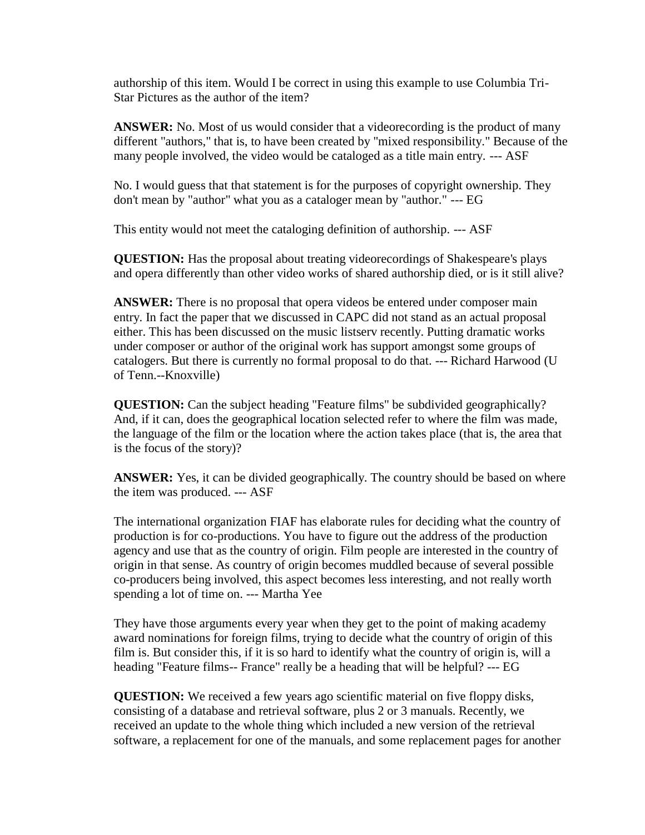authorship of this item. Would I be correct in using this example to use Columbia Tri-Star Pictures as the author of the item?

**ANSWER:** No. Most of us would consider that a videorecording is the product of many different "authors," that is, to have been created by "mixed responsibility." Because of the many people involved, the video would be cataloged as a title main entry. --- ASF

No. I would guess that that statement is for the purposes of copyright ownership. They don't mean by "author" what you as a cataloger mean by "author." --- EG

This entity would not meet the cataloging definition of authorship. --- ASF

**QUESTION:** Has the proposal about treating videorecordings of Shakespeare's plays and opera differently than other video works of shared authorship died, or is it still alive?

**ANSWER:** There is no proposal that opera videos be entered under composer main entry. In fact the paper that we discussed in CAPC did not stand as an actual proposal either. This has been discussed on the music listserv recently. Putting dramatic works under composer or author of the original work has support amongst some groups of catalogers. But there is currently no formal proposal to do that. --- Richard Harwood (U of Tenn.--Knoxville)

**QUESTION:** Can the subject heading "Feature films" be subdivided geographically? And, if it can, does the geographical location selected refer to where the film was made, the language of the film or the location where the action takes place (that is, the area that is the focus of the story)?

**ANSWER:** Yes, it can be divided geographically. The country should be based on where the item was produced. --- ASF

The international organization FIAF has elaborate rules for deciding what the country of production is for co-productions. You have to figure out the address of the production agency and use that as the country of origin. Film people are interested in the country of origin in that sense. As country of origin becomes muddled because of several possible co-producers being involved, this aspect becomes less interesting, and not really worth spending a lot of time on. --- Martha Yee

They have those arguments every year when they get to the point of making academy award nominations for foreign films, trying to decide what the country of origin of this film is. But consider this, if it is so hard to identify what the country of origin is, will a heading "Feature films-- France" really be a heading that will be helpful? --- EG

**QUESTION:** We received a few years ago scientific material on five floppy disks, consisting of a database and retrieval software, plus 2 or 3 manuals. Recently, we received an update to the whole thing which included a new version of the retrieval software, a replacement for one of the manuals, and some replacement pages for another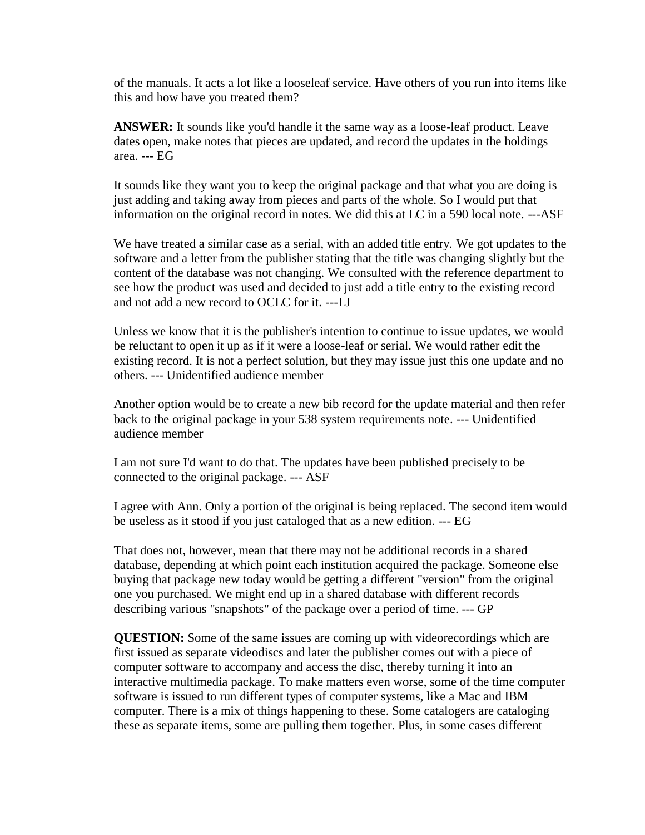of the manuals. It acts a lot like a looseleaf service. Have others of you run into items like this and how have you treated them?

**ANSWER:** It sounds like you'd handle it the same way as a loose-leaf product. Leave dates open, make notes that pieces are updated, and record the updates in the holdings area. --- EG

It sounds like they want you to keep the original package and that what you are doing is just adding and taking away from pieces and parts of the whole. So I would put that information on the original record in notes. We did this at LC in a 590 local note. ---ASF

We have treated a similar case as a serial, with an added title entry. We got updates to the software and a letter from the publisher stating that the title was changing slightly but the content of the database was not changing. We consulted with the reference department to see how the product was used and decided to just add a title entry to the existing record and not add a new record to OCLC for it. ---LJ

Unless we know that it is the publisher's intention to continue to issue updates, we would be reluctant to open it up as if it were a loose-leaf or serial. We would rather edit the existing record. It is not a perfect solution, but they may issue just this one update and no others. --- Unidentified audience member

Another option would be to create a new bib record for the update material and then refer back to the original package in your 538 system requirements note. --- Unidentified audience member

I am not sure I'd want to do that. The updates have been published precisely to be connected to the original package. --- ASF

I agree with Ann. Only a portion of the original is being replaced. The second item would be useless as it stood if you just cataloged that as a new edition. --- EG

That does not, however, mean that there may not be additional records in a shared database, depending at which point each institution acquired the package. Someone else buying that package new today would be getting a different "version" from the original one you purchased. We might end up in a shared database with different records describing various "snapshots" of the package over a period of time. --- GP

**QUESTION:** Some of the same issues are coming up with videorecordings which are first issued as separate videodiscs and later the publisher comes out with a piece of computer software to accompany and access the disc, thereby turning it into an interactive multimedia package. To make matters even worse, some of the time computer software is issued to run different types of computer systems, like a Mac and IBM computer. There is a mix of things happening to these. Some catalogers are cataloging these as separate items, some are pulling them together. Plus, in some cases different